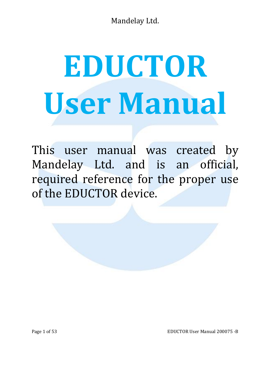# **EDUCTOR User Manual**

This user manual was created by Mandelay Ltd. and is an official, required reference for the proper use of the EDUCTOR device.

Page 1 of 53 **EDUCTOR User Manual 200075 -B**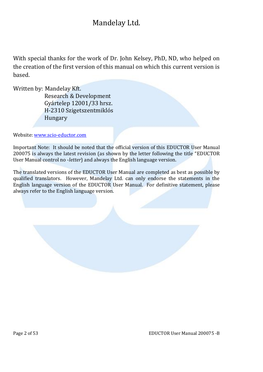With special thanks for the work of Dr. John Kelsey, PhD, ND, who helped on the creation of the first version of this manual on which this current version is based.

Written by: Mandelay Kft.

Research & Development Gyártelep 12001/33 hrsz. H-2310 Szigetszentmiklós Hungary

Website: www.scio-eductor.com

Important Note: It should be noted that the official version of this EDUCTOR User Manual 200075 is always the latest revision (as shown by the letter following the title "EDUCTOR User Manual control no -*letter*) and always the English language version.

The translated versions of the EDUCTOR User Manual are completed as best as possible by qualified translators. However, Mandelay Ltd. can only endorse the statements in the English language version of the EDUCTOR User Manual. For definitive statement, please always refer to the English language version.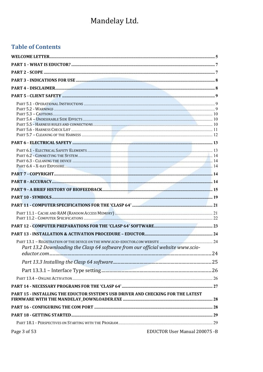### **Table of Contents**

| Part 13.2 Downloading the Clasp 64 software from our official website www.scio-  |  |
|----------------------------------------------------------------------------------|--|
|                                                                                  |  |
|                                                                                  |  |
|                                                                                  |  |
|                                                                                  |  |
|                                                                                  |  |
| PART 15 - INSTALLING THE EDUCTOR SYSTEM'S USB DRIVER AND CHECKING FOR THE LATEST |  |
|                                                                                  |  |
|                                                                                  |  |
|                                                                                  |  |
| EDUCTOR User Manual 200075 -B<br>Page 3 of 53                                    |  |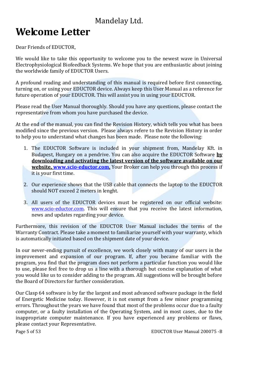# **Welcome Letter**

Dear Friends of EDUCTOR,

We would like to take this opportunity to welcome you to the newest wave in Universal Electrophysiological Biofeedback Systems. We hope that you are enthusiastic about joining the worldwide family of EDUCTOR Users.

A profound reading and understanding of this manual is required before first connecting, turning on, or using your EDUCTOR device. Always keep this User Manual as a reference for future operation of your EDUCTOR. This will assist you in using your EDUCTOR.

Please read the User Manual thoroughly. Should you have any questions, please contact the representative from whom you have purchased the device.

At the end of the manual, you can find the Revision History, which tells you what has been modified since the previous version. Please always refere to the Revision History in order to help you to understand what changes has been made. Please note the following:

- 1. The EDUCTOR Software is included in your shipment from, Mandelay Kft. in Budapest, Hungary on a pendrive. You can also acquire the EDUCTOR Software **by downloading and activating the latest version of the software available on our website, www.scio-eductor.com.** Your Broker can help you through this process if it is your first time.
- 2. Our experience shows that the USB cable that connects the laptop to the EDUCTOR should NOT exceed 2 meters in lenght.
- 3. All users of the EDUCTOR devices must be registered on our official website: www.scio-eductor.com. This will ensure that you receive the latest information, news and updates regarding your device.

Furthermore, this revision of the EDUCTOR User Manual includes the terms of the Warranty Contract. Please take a moment to familiarize yourself with your warranty, which is automatically initiated based on the shipment date of your device.

In our never-ending pursuit of excellence, we work closely with many of our users in the improvement and expansion of our program. If, after you became familiar with the program, you find that the program does not perform a particular function you would like to use, please feel free to drop us a line with a thorough but concise explanation of what you would like us to consider adding to the program. All suggestions will be brought before the Board of Directors for further consideration.

Our Clasp 64 software is by far the largest and most advanced software package in the field of Energetic Medicine today. However, it is not exempt from a few minor programming errors. Throughout the years we have found that most of the problems occur due to a faulty computer, or a faulty installation of the Operating System, and in most cases, due to the inappropriate computer maintenance. If you have experienced any problems or flaws, please contact your Representative.

Page 5 of 53 EDUCTOR User Manual 200075 -B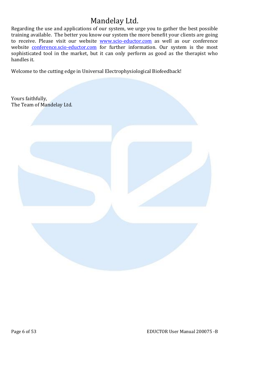Regarding the use and applications of our system, we urge you to gather the best possible training available. The better you know our system the more benefit your clients are going to receive. Please visit our website **www.scio-eductor.com** as well as our conference website conference.scio-eductor.com for further information. Our system is the most sophisticated tool in the market, but it can only perform as good as the therapist who handles it.

Welcome to the cutting edge in Universal Electrophysiological Biofeedback!

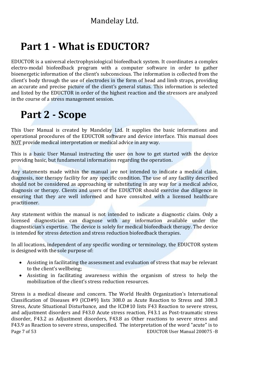# **Part 1 - What is EDUCTOR?**

EDUCTOR is a universal electrophysiological biofeedback system. It coordinates a complex electro-modal biofeedback program with a computer software in order to gather bioenergetic information of the client's subconscious. The information is collected from the client's body through the use of electrodes in the form of head and limb straps, providing an accurate and precise picture of the client's general status. This information is selected and listed by the EDUCTOR in order of the highest reaction and the stressors are analyzed in the course of a stress management session.

# **Part 2 - Scope**

This User Manual is created by Mandelay Ltd. It supplies the basic informations and operational procedures of the EDUCTOR software and device interface. This manual does NOT provide medical interpretation or medical advice in any way.

This is a basic User Manual instructing the user on how to get started with the device providing basic, but fundamental informations regarding the operation.

Any statements made within the manual are not intended to indicate a medical claim, diagnosis, nor therapy facility for any specific condition. The use of any facility described should not be considered as approaching or substituting in any way for a medical advice, diagnosis or therapy. Clients and users of the EDUCTOR should exercise due diligence in ensuring that they are well informed and have consulted with a licensed healthcare practitioner.

Any statement within the manual is not intended to indicate a diagnostic claim. Only a licensed diagnostician can diagnose with any information available under the diagnostician's expertise. The device is solely for medical biofeedback therapy. The device is intended for stress detection and stress reduction biofeedback therapies.

In all locations, independent of any specific wording or terminology, the EDUCTOR system is designed with the sole purpose of:

- Assisting in facilitating the assessment and evaluation of stress that may be relevant to the client's wellbeing;
- Assisting in facilitating awareness within the organism of stress to help the mobilization of the client's stress reduction resources.

Page 7 of 53 EDUCTOR User Manual 200075 -B Stress is a medical disease and concern. The World Health Organization's International Classification of Diseases #9 (ICD#9) lists 308.0 as Acute Reaction to Stress and 308.3 Stress, Acute Situational Disturbance, and the ICD#10 lists F43 Reaction to severe stress, and adjustment disorders and F43.0 Acute stress reaction, F43.1 as Post-traumatic stress disorder, F43.2 as Adjustment disorders, F43.8 as Other reactions to severe stress and F43.9 as Reaction to severe stress, unspecified. The interpretation of the word "acute" is to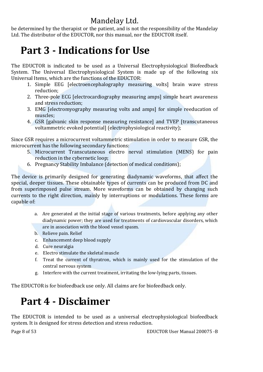be determined by the therapist or the patient, and is not the responsibility of the Mandelay Ltd. The distributor of the EDUCTOR, nor this manual, nor the EDUCTOR itself.

# **Part 3 - Indications for Use**

The EDUCTOR is indicated to be used as a Universal Electrophysiological Biofeedback System. The Universal Electrophysiological System is made up of the following six Universal Items, which are the functions of the EDUCTOR:

- 1. Simple EEG [electroencephalography measuring volts] brain wave stress reduction;
- 2. Three-pole ECG [electrocardiography measuring amps] simple heart awareness and stress reduction;
- 3. EMG [electromyography measuring volts and amps] for simple reeducation of muscles;
- 4. GSR [galvanic skin response measuring resistance] and TVEP [transcutaneous voltammetric evoked potential] (electrophysiological reactivity);

Since GSR requires a microcurrent voltammetric stimulation in order to measure GSR, the microcurrent has the following secondary functions:

- 5. Microcurrent Transcutaneous electro nerval stimulation (MENS) for pain reduction in the cybernetic loop;
- 6. Pregnancy Stability Imbalance (detection of medical conditions);

The device is primarily designed for generating diadynamic waveforms, that affect the special, deeper tissues. These obtainable types of currents can be produced from DC and from superimposed pulse stream. More waveforms can be obtained by changing such currents to the right direction, mainly by interruptions or modulations. These forms are capable of:

- a. Are generated at the initial stage of various treatments, before applying any other diadynamic power; they are used for treatments of cardiovascular disorders, which are in association with the blood vessel spasm.
- b. Relieve pain. Relief
- c. Enhancement deep blood supply
- d. Cure neuralgia
- e. Electro stimulate the skeletal muscle
- f. Treat the current of thyratron, which is mainly used for the stimulation of the central nervous system
- g. Interfere with the current treatment, irritating the low-lying parts, tissues.

The EDUCTORis for biofeedback use only. All claims are for biofeedback only.

# **Part 4 - Disclaimer**

The EDUCTOR is intended to be used as a universal electrophysiological biofeedback system. It is designed for stress detection and stress reduction.

Page 8 of 53 EDUCTOR User Manual 200075 -B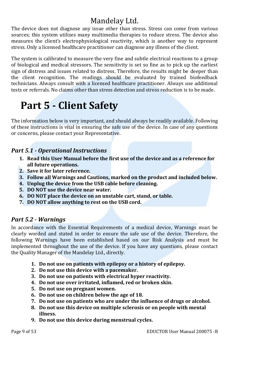The device does not diagnose any issue other than stress. Stress can come from various sources; this system utilizes many multimedia therapies to reduce stress. The device also measures the client's electrophysiological reactivity, which is another way to represent stress. Only a licensed healthcare practitioner can diagnose any illness of the client.

The system is calibrated to measure the very fine and subtle electrical reactions to a group of biological and medical stressors. The sensitivity is set so fine as to pick up the earliest sign of distress and issues related to distress. Therefore, the results might be deeper than the client recognition. The readings should be evaluated by trained biofeedback technicians. Always consult with a licensed healthcare practitioner. Always use additional tests or referrals. No claims other than stress detection and stress reduction is to be made.

# **Part 5 - Client Safety**

The information below is very important, and should always be readily available. Following of these instructions is vital in ensuring the safe use of the device. In case of any questions or concerns, please contact your Representative.

### *Part 5.1 - Operational Instructions*

- **1. Read this User Manual before the first use of the device and as a reference for all future operations.**
- **2. Save it for later reference.**
- **3. Follow all Warnings and Cautions, marked on the product and included below.**
- **4. Unplug the device from the USB cable before cleaning.**
- **5. DO NOT use the device near water.**
- **6. DO NOT place the device on an unstable cart, stand, or table.**
- **7. DO NOT allow anything to rest on the USB cord.**

### *Part 5.2 - Warnings*

In accordance with the Essential Requirements of a medical device, Warnings must be clearly worded and stated in order to ensure the safe use of the device. Therefore, the following Warnings have been established based on our Risk Analysis and must be implemented throughout the use of the device. If you have any questions, please contact the Quality Manager of the Mandelay Ltd., directly.

- **1. Do not use on patients with epilepsy or a history of epilepsy.**
- **2. Do not use this device with a pacemaker.**
- **3. Do not use on patients with electrical hyper reactivity.**
- **4. Do not use over irritated, inflamed, red or broken skin.**
- **5. Do not use on pregnant women.**
- **6. Do not use on children below the age of 18.**
- **7. Do not use on patients who are under the influence of drugs or alcohol.**
- **8. Do not use this device on multiple sclerosis or on people with mental illness.**
- **9. Do not use this device during menstrual cycles.**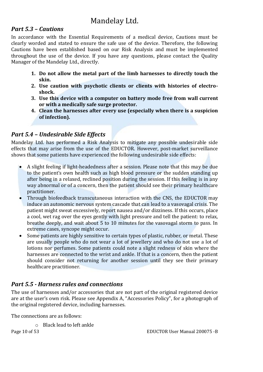### *Part 5.3 – Cautions*

In accordance with the Essential Requirements of a medical device, Cautions must be clearly worded and stated to ensure the safe use of the device. Therefore, the following Cautions have been established based on our Risk Analysis and must be implemented throughout the use of the device. If you have any questions, please contact the Quality Manager of the Mandelay Ltd., directly.

- **1. Do not allow the metal part of the limb harnesses to directly touch the skin.**
- **2. Use caution with psychotic clients or clients with histories of electroshock.**
- **3. Use this device with a computer on battery mode free from wall current or with a medically safe surge protector.**
- **4. Clean the harnesses after every use (especially when there is a suspicion of infection).**

### *Part 5.4 – Undesirable Side Effects*

Mandelay Ltd. has performed a Risk Analysis to mitigate any possible undesirable side effects that may arise from the use of the EDUCTOR. However, post-market surveillance shows that some patients have experienced the following undesirable side effects:

- A slight feeling if light-headedness after a session. Please note that this may be due to the patient's own health such as high blood pressure or the sudden standing up after being in a relaxed, reclined position during the session. If this feeling is in any way abnormal or of a concern, then the patient should see their primary healthcare practitioner.
- Through biofeedback transcutaneous interaction with the CNS, the EDUCTOR may induce an autonomic nervous system cascade that can lead to a vasovagal crisis. The patient might sweat excessively, report nausea and/or dizziness. If this occurs, place a cool, wet rag over the eyes gently with light pressure and tell the patient: to relax, breathe deeply, and wait about 5 to 10 minutes for the vasovagal storm to pass. In extreme cases, syncope might occur.
- Some patients are highly sensitive to certain types of plastic, rubber, or metal. These are usually people who do not wear a lot of jewellery and who do not use a lot of lotions nor perfumes. Some patients could note a slight redness of skin where the harnesses are connected to the wrist and ankle. If that is a concern, then the patient should consider not returning for another session until they see their primary healthcare practitioner.

### *Part 5.5 - Harness rules and connections*

The use of harnesses and/or accessories that are not part of the original registered device are at the user's own risk. Please see Appendix A, "Accessories Policy", for a photograph of the original registered device, including harnesses.

The connections are as follows:

o Black lead to left ankle

Page 10 of 53 EDUCTOR User Manual 200075 -B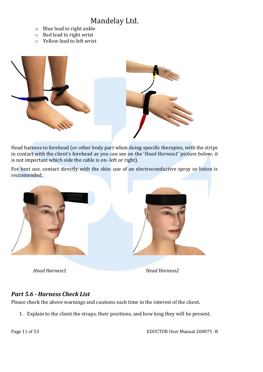- o Blue lead to right ankle
- o Red lead to right wrist
- o Yellow lead to left wrist



Head harness to forehead (or other body part when doing specific therapies, with the strips in contact with the client's forehead as you can see on the '*Head Harness1'* picture below; it is not important which side the cable is on- left or right).

For best use, contact directly with the skin: use of an electroconductive spray or lotion is reccomended.



*Head Harness1 Head Harness2*

### *Part 5.6 - Harness Check List*

Please check the above warnings and cautions each time in the interest of the client.

1. Explain to the client the straps, their positions, and how long they will be present.

Page 11 of 53 EDUCTOR User Manual 200075 -B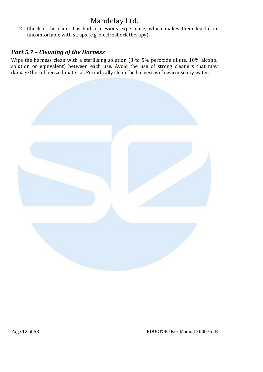2. Check if the client has had a previous experience, which makes them fearful or uncomfortable with straps (e.g. electroshock therapy).

### *Part 5.7 – Cleaning of the Harness*

Wipe the harness clean with a sterilising solution (3 to 5% peroxide dilute, 10% alcohol solution or equivalent) between each use. Avoid the use of strong cleaners that may damage the rubberized material. Periodically clean the harness with warm soapy water.

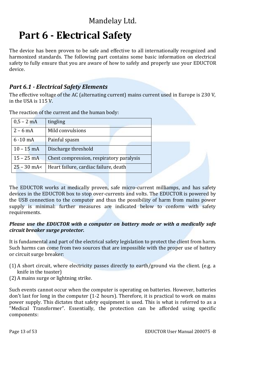# **Part 6 - Electrical Safety**

The device has been proven to be safe and effective to all internationally recognized and harmonized standards. The following part contains some basic information on electrical safety to fully ensure that you are aware of how to safely and properly use your EDUCTOR device.

### *Part 6.1 - Electrical Safety Elements*

The effective voltage of the AC (alternating current) mains current used in Europe is 230 V, in the USA is 115 V.

| $0,5 - 2$ mA     | tingling                                 |  |
|------------------|------------------------------------------|--|
| $2 - 6$ mA       | Mild convulsions                         |  |
| $6 - 10$ mA      | Painful spasm                            |  |
| $10 - 15$ mA     | Discharge threshold                      |  |
| $15 - 25$ mA     | Chest compression, respiratory paralysis |  |
| $25 - 30$ mA $<$ | Heart failure, cardiac failure, death    |  |

The reaction of the current and the human body:

The EDUCTOR works at medically proven, safe micro-current milliamps, and has safety devices in the EDUCTOR box to stop over-currents and volts. The EDUCTOR is powered by the USB connection to the computer and thus the possibility of harm from mains power supply is minimal: further measures are indicated below to conform with safety requirements.

#### *Please use the EDUCTOR with a computer on battery mode or with a medically safe circuit breaker surge protector.*

It is fundamental and part of the electrical safety legislation to protect the client from harm. Such harms can come from two sources that are impossible with the proper use of battery or circuit surge breaker:

- (1) A short circuit, where electricity passes directly to earth/ground via the client. (e.g. a knife in the toaster)
- (2) A mains surge or lightning strike.

Such events cannot occur when the computer is operating on batteries. However, batteries don't last for long in the computer (1-2 hours). Therefore, it is practical to work on mains power supply. This dictates that safety equipment is used. This is what is referred to as a "Medical Transformer". Essentially, the protection can be afforded using specific components: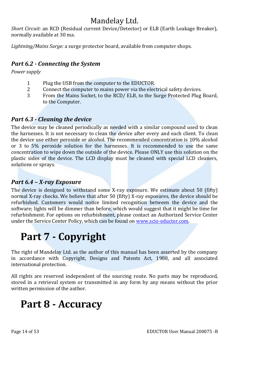*Short Circuit*: an RCD (Residual current Device/Detector) or ELB (Earth Leakage Breaker), normally available at 30 ma.

*Lightning/Mains Surge:* a surge protector board, available from computer shops.

### *Part 6.2 - Connecting the System*

*Power supply*

- 1 Plug the USB from the computer to the EDUCTOR.<br>2 Connect the computer to mains power via the elec
- 2 Connect the computer to mains power via the electrical safety devices.<br>2 From the Mains Socket, to the RCD/ELB, to the Surge Protected Plug
- From the Mains Socket, to the RCD/ ELB, to the Surge Protected Plug Board, to the Computer.

### *Part 6.3 - Cleaning the device*

The device may be cleaned periodically as needed with a similar compound used to clean the harnesses. It is not necessary to clean the device after every and each client. To clean the device use either peroxide or alcohol. The recommended concentration is 10% alcohol or 3 to 5% peroxide solution for the harnesses. It is recommended to use the same concentration to wipe down the outside of the device. Please ONLY use this solution on the plastic sides of the device. The LCD display must be cleaned with special LCD cleaners, solutions or sprays.

### *Part 6.4 – X-ray Exposure*

The device is designed to withstand some X-ray exposure. We estimate about 50 (fifty) normal X-ray checks. We believe that after 50 (fifty) X-ray exposures, the device should be refurbished. Customers would notice limited recognition between the device and the software; lights will be dimmer than before, which would suggest that it might be time for refurbishment. For options on refurbishment, please contact an Authorized Service Center under the Service Center Policy, which can be found on www.scio-eductor.com.

# **Part 7 - Copyright**

The right of Mandelay Ltd. as the author of this manual has been asserted by the company in accordance with Copyright, Designs and Patents Act, 1988, and all associated international protection.

All rights are reserved independent of the sourcing route. No parts may be reproduced, stored in a retrieval system or transmitted in any form by any means without the prior written permission of the author.

# **Part 8 - Accuracy**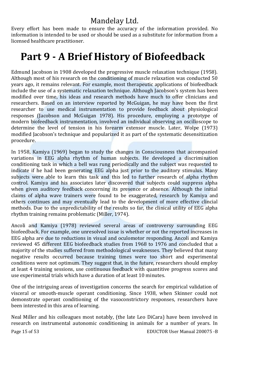Every effort has been made to ensure the accuracy of the information provided. No information is intended to be used or should be used as a substitute for information from a licensed healthcare practitioner.

# **Part 9 - A Brief History of Biofeedback**

Edmund Jacobson in 1908 developed the progressive muscle relaxation technique (1958). Although most of his research on the conditioning of muscle relaxation was conducted 50 years ago, it remains relevant. For example, most therapeutic applications of biofeedback include the use of a systematic relaxation technique. Although Jacobson's system has been modified over time, his ideas and research methods have much to offer clinicians and researchers. Based on an interview reported by McGuigan, he may have been the first researcher to use medical instrumentation to provide feedback about physiological responses (Jacobson and McGuigan 1978). His procedure, employing a prototype of modern biofeedback instrumentation, involved an individual observing an oscilloscope to determine the level of tension in his forearm extensor muscle. Later, Wolpe (1973) modified Jacobson's technique and popularized it as part of the systematic desensitization procedure.

In 1958, Kamiya (1969) began to study the changes in Consciousness that accompanied variations in EEG alpha rhythm of human subjects. He developed a discrimination conditioning task in which a bell was rung periodically and the subject was requested to indicate if he had been generating EEG alpha just prior to the auditory stimulus. Many subjects were able to learn this task and this led to further research of alpha rhythm control. Kamiya and his associates later discovered that subjects could suppress alpha when given auditory feedback concerning its presence or absence. Although the initial claims of alpha wave trainers were found to be exaggerated, research by Kamiya and others continues and may eventually lead to the development of more effective clincial methods. Due to the unpredictability of the results so far, the clinical utility of EEG alpha rhythm training remains problematic (Miller, 1974).

Ancoli and Kamiya (1978) reviewed several areas of controversy surrounding EEG biofeedback. For example, one unresolved issue is whether or not the reported increases in EEG alpha are due to reductions in visual and oculomotor responding. Ancoli and Kamiya reviewed 45 different EEG biofeedback studies from 1968 to 1976 and concluded that a majority of the studies suffered from methodological weaknesses. They believed that many negative results occurred because training times were too short and experimental conditions were not optimum. They suggest that, in the future, researchers should employ at least 4 training sessions, use continuous feedback with quantitive progress scores and use experimental trials which have a duration of at least 10 minutes.

One of the intriguing areas of investigation concerns the search for empirical validation of visceral or smooth-muscle operant conditioning. Since 1938, when Skinner could not demonstrate operant conditioning of the vasoconstrictory responses, researchers have been interested in this area of learning.

Page 15 of 53 EDUCTOR User Manual 200075 -B Neal Miller and his colleagues most notably, (the late Leo DiCara) have been involved in research on instrumental autonomic conditioning in animals for a number of years. In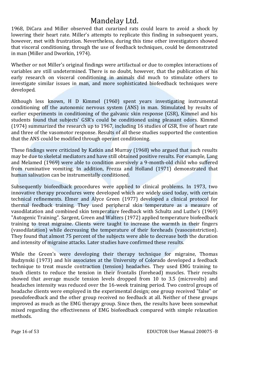1968, DiCara and Miller observed that curarized rats could learn to avoid a shock by lowering their heart rate. Miller's attempts to replicate this finding in subsequent vears. however, met with frustration. Nevertheless, during this time other investigators showed that visceral conditioning, through the use of feedback techniques, could be demonstrated in man (Miller and Dworkin, 1974).

Whether or not Miller's original findings were artifactual or due to complex interactions of variables are still undetermined. There is no doubt, however, that the publication of his early research on visceral conditioning in animals did much to stimulate others to investigate similar issues in man, and more sophisticated biofeedback techniques were developed.

Although less known, H D Kimmel (1960) spent years investigating instrumental conditioning off the autonomic nervous system (ANS) in man. Stimulated by results of earlier experiments in conditioning of the galvanic skin response (GSR), Kimmel and his students found that subjects' GSR's could be conditioned using pleasant odors. Kimmel (1974) summarized the research up to 1967, including 16 studies of GSR, five of heart rate and three of the vasomotor response. Results of all these studies supported the contention that the ANS could be modified through operant conditioning.

These findings were criticized by Katkin and Murray (1968) who argued that such results may be due to skeletal mediators and have still obtained positive results. For example, Lang and Melamed (1969) were able to condition aversively a 9-month-old child who suffered from ruminative vomiting. In addition, Frezza and Holland (1971) demonstrated that human salivation can be instrumentally conditioned.

Subsequently biofeedback procedures were applied to clinical problems. In 1973, two innovative therapy procedures were developed which are widely used today, with certain technical refinements. Elmer and Alyce Green (1977) developed a clinical protocol for thermal feedback training. They used peripheral skin temperature as a measure of vasodilatation and combined skin temperature feedback with Schultz and Luthe's (1969) "Autogenic Training". Sargent, Green and Walters (1972) applied temperature biofeedback training to treat migraine. Clients were taught to increase the warmth in their fingers (vasodilatation) while decreasing the temperature of their foreheads (vasoconstriction). They found that almost 75 percent of the subjects were able to decrease both the duration and intensity of migraine attacks. Later studies have confirmed these results.

While the Green's were developing their therapy technique for migraine, Thomas Budzynski (1973) and his associates at the University of Colorado developed a feedback technique to treat muscle contraction (tension) headaches. They used EMG training to teach clients to reduce the tension in their frontalis (forehead) muscles. Their results showed that average muscle tension levels dropped from 10 to 3.5 (microvolts) and headaches intensity was reduced over the 16-week training period. Two control groups of headache clients were employed in the experimental design; one group received "false" or pseudofeedback and the other group received no feedback at all. Neither of these groups improved as much as the EMG therapy group. Since then, the results have been somewhat mixed regarding the effectiveness of EMG biofeedback compared with simple relaxation methods.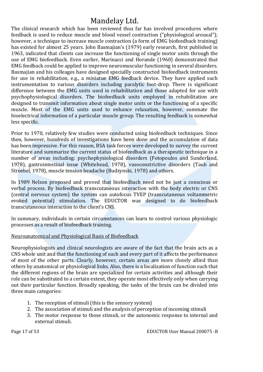The clinical research which has been reviewed thus far has involved procedures where feedback is used to reduce muscle and blood vessel contraction ("physiological arousal"); however, a technique to increase muscle contraction (a form of EMG biofeedback training) has existed for almost 25 years. John Basmajian's (1979) early research, first published in 1963, indicated that clients can increase the functioning of single motor units through the use of EMG biofeedback. Even earlier, Marinacci and Horande (1960) demonstrated that EMG feedback could be applied to improve neuromuscular functioning in several disorders. Basmajian and his colleages have designed speciallly constructed biofeedback instruments for use in rehabilitation, e.g., a miniatue EMG feedback device. They have applied such instrumentation to various disorders including paralytic foot-drop. There is significant difference between the EMG units used in rehabilitation and those adapted for use with psychophysiological disorders. The biofeedback units employed in rehabilitation are designed to transmit information about single motor units or the functioning of a specific muscle. Most of the EMG units used to enhance relaxation, however, summate the bioelectrical information of a particular muscle group. The resulting feedback is somewhat less specific.

Prior to 1970, relatively few studies were conducted using biofeedback techniques. Since then, however, hundreds of investigations have been done and the accumulation of data has been impressive. For this reason, BSA task forces were developed to survey the current literature and summarize the current status of biofeedback as a therapeutic technique in a number of areas including: psychophysiological disorders (Fotopoulos and Sunderland, 1978), gastrointestinal issue (Whitehead, 1978), vasoconstrictive disorders (Taub and Stroebel, 1978), muscle tension headache (Budzynski, 1978) and others.

In 1989 Nelson proposed and proved that biofeedback need not be just a conscious or verbal process. By biofeedback transcutaneous interaction with the body electric or CNS (central nervous system) the system can autofocus TVEP (transcutaneous voltammetric evoked potential) stimulation. The EDUCTOR was designed to do biofeedback transcutaneous interaction to the client's CNS.

In summary, individuals in certain circumstances can learn to control various physiologic processes as a result of biofeedback training.

### Neuroanatomical and Physiological Basis of Biofeedback

Neurophysiologists and clinical neurologists are aware of the fact that the brain acts as a CNS whole unit and that the functioning of each and every part of it affects the performance of most of the other parts. Clearly, however, certain areas are more closely allied than others by anatomical or physiological links. Also, there is a localization of function such that the different regions of the brain are specialized for certain activities and although their role can be substituted to a certain extent, they operate most effectively only when carrying out their particular function. Broadly speaking, the tasks of the brain can be divided into three main categories:

- 1. The reception of stimuli (this is the sensory system)
- 2. The association of stimuli and the analysis of perception of incoming stimuli
- 3. The motor response to those stimuli, or the autonomic response to internal and external stimuli.

Page 17 of 53 EDUCTOR User Manual 200075 -B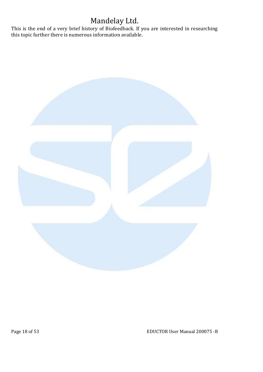This is the end of a very brief history of Biofeedback. If you are interested in researching this topic further there is numerous information available.



Page 18 of 53 EDUCTOR User Manual 200075 -B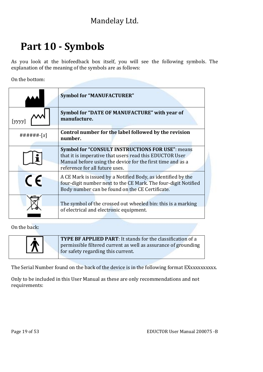# **Part 10 - Symbols**

As you look at the biofeedback box itself, you will see the following symbols. The explanation of the meaning of the symbols are as follows:

On the bottom:

|              | <b>Symbol for "MANUFACTURER"</b>                                                                                                                                                                                   |  |
|--------------|--------------------------------------------------------------------------------------------------------------------------------------------------------------------------------------------------------------------|--|
| $[$ yyyy $]$ | Symbol for "DATE OF MANUFACTURE" with year of<br>manufacture.                                                                                                                                                      |  |
| ######-[x]   | Control number for the label followed by the revision<br>number.                                                                                                                                                   |  |
|              | <b>Symbol for "CONSULT INSTRUCTIONS FOR USE": means</b><br>that it is imperative that users read this EDUCTOR User<br>Manual before using the device for the first time and as a<br>reference for all future uses. |  |
| $\epsilon$   | A CE Mark is issued by a Notified Body, as identified by the<br>four-digit number next to the CE Mark. The four-digit Notified<br>Body number can be found on the CE Certificate.                                  |  |
|              | The symbol of the crossed out wheeled bin: this is a marking<br>of electrical and electronic equipment.                                                                                                            |  |

On the back:

| K. | TYPE BF APPLIED PART: It stands for the classification of a<br>permissible filtered current as well as assurance of grounding<br>for safety regarding this current. |
|----|---------------------------------------------------------------------------------------------------------------------------------------------------------------------|

The Serial Number found on the back of the device is in the following format EXxxxxxxxxxx.

Only to be included in this User Manual as these are only recommendations and not requirements: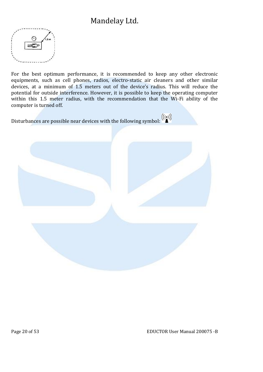

For the best optimum performance, it is recommended to keep any other electronic equipments, such as cell phones, radios, electro-static air cleaners and other similar devices, at a minimum of 1.5 meters out of the device's radius. This will reduce the potential for outside interference. However, it is possible to keep the operating computer within this 1.5 meter radius, with the recommendation that the Wi-Fi ability of the computer is turned off.

Disturbances are possible near devices with the following symbol:  $\binom{((\cdot))}{\bullet}$ 

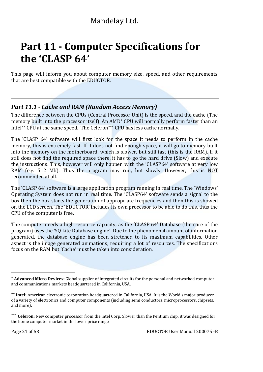# **Part 11 - Computer Specifications for the 'CLASP 64'**

This page will inform you about computer memory size, speed, and other requirements that are best compatible with the EDUCTOR.

### *Part 11.1 - Cache and RAM (Random Access Memory)*

The difference between the CPUs (Central Processor Unit) is the speed, and the cache (The memory built into the processor itself). An AMD<sup>\*</sup> CPU will normally perform faster than an Intel\*\* CPU at the same speed. The Celeron\*\*\* CPU has less cache normally.

The 'CLASP 64' software will first look for the space it needs to perform in the cache memory, this is extremely fast. If it does not find enough space, it will go to memory built into the memory on the motherboard, which is slower, but still fast (this is the RAM). If it still does not find the required space there, it has to go the hard drive (Slow) and execute the instructions. This, however will only happen with the 'CLASP64' software at very low RAM (e.g. 512 Mb). Thus the program may run, but slowly. However, this is NOT recommended at all.

The 'CLASP 64' software is a large application program running in real time. The 'Windows' Operating System does not run in real time. The 'CLASP64' software sends a signal to the box then the box starts the generation of appropriate frequencies and then this is showed on the LCD screen. The 'EDUCTOR' includes its own processor to be able to do this, thus the CPU of the computer is free.

The computer needs a high resource capacity, as the 'CLASP 64' Database (the core of the program) uses the 'SQ Lite Database engine'. Due to the phenomenal amount of information generated, the database engine has been stretched to its maximum capabilities. Other aspect is the image generated animations, requiring a lot of resources. The specifications focus on the RAM but 'Cache' must be taken into consideration.

 **Advanced Micro Devices:** Global supplier of integrated circuits for the personal and networked computer and communications markets headquartered in California, USA.

**Intel:** American electronic corporation headquartered in California, USA. It is the World's major producer of a variety of electronics and computer components (including semi conductors, microprocessors, chipsets, and more).

<sup>\*\*\*</sup> **Celeron:** New computer processor from the Intel Corp. Slower than the Pentium chip, it was designed for the home computer market in the lower price range.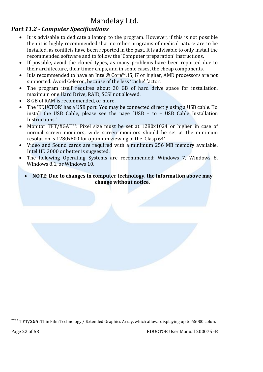### *Part 11.2 - Computer Specifications*

- It is advisable to dedicate a laptop to the program. However, if this is not possible then it is highly recommended that no other programs of medical nature are to be installed, as conflicts have been reported in the past. It is advisable to only install the recommended software and to follow the 'Computer preparation' instructions.
- If possible, avoid the cloned types, as many problems have been reported due to their architecture, their timer chips, and in some cases, the cheap components.
- It is recommended to have an Intel® Core™, i5, i7 or higher, AMD processors are not supported. Avoid Celeron, because of the less 'cache' factor.
- The program itself requires about 30 GB of hard drive space for installation, maximum one Hard Drive, RAID, SCSI not allowed.
- 8 GB of RAM is recommended, or more.
- The 'EDUCTOR' has a USB port. You may be connected directly using a USB cable. To install the USB Cable, please see the page "USB – to – USB Cable Installation Instructions."
- Monitor TFT/XGA\*\*\*\*: Pixel size must be set at 1280x1024 or higher in case of normal screen monitors, wide screen monitors should be set at the minimum resolution is 1280x800 for optimum viewing of the 'Clasp 64'.
- Video and Sound cards are required with a minimum 256 MB memory available, Intel HD 3000 or better is suggested.
- The following Operating Systems are recommended: Windows 7, Windows 8, Windows 8.1, or Windows 10.
	- **NOTE: Due to changes in computer technology, the information above may change without notice.**

 **TFT/XGA:** Thin Film Technology / Extended Graphics Array, which allows displaying up to 65000 colors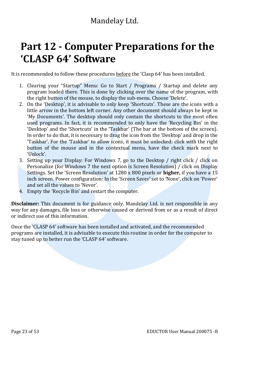# **Part 12 - Computer Preparations for the 'CLASP 64' Software**

It is recommended to follow these procedures before the 'Clasp 64' has been installed.

- 1. Clearing your "Startup" Menu: Go to Start / Programs / Startup and delete any program loaded there. This is done by clicking over the name of the program, with the right button of the mouse, to display the sub-menu. Choose 'Delete'.
- 2. On the 'Desktop', it is advisable to only keep 'Shortcuts'. These are the icons with a little arrow in the bottom left corner. Any other document should always be kept in 'My Documents'. The desktop should only contain the shortcuts to the most often used programs. In fact, it is recommended to only have the 'Recycling Bin' in the 'Desktop' and the 'Shortcuts' in the 'Taskbar' (The bar at the bottom of the screen). In order to do that, it is necessary to drag the icon from the 'Desktop' and drop in the 'Taskbar'. For the 'Taskbar' to allow icons, it must be unlocked: click with the right button of the mouse and in the contextual menu, have the check mark next to 'Unlock'.
- 3. Setting up your Display: For Windows 7, go to the Desktop / right click / click on Personalize (for Windows 7 the next option is Screen Resolution) / click on Display Settings. Set the 'Screen Resolution' at 1280 x 800 pixels or **higher,** if you have a 15 inch screen. Power configuration: In the 'Screen Saver' set to 'None', click on 'Power' and set all the values to 'Never'.
- 4. Empty the 'Recycle Bin' and restart the computer.

**Disclaimer:** This document is for guidance only. Mandelay Ltd. is not responsible in any way for any damages, file loss or otherwise caused or derived from or as a result of direct or indirect use of this information.

Once the 'CLASP 64' software has been installed and activated, and the recommended programs are installed, it is advisable to execute this routine in order for the computer to stay tuned up to better run the 'CLASP 64' software.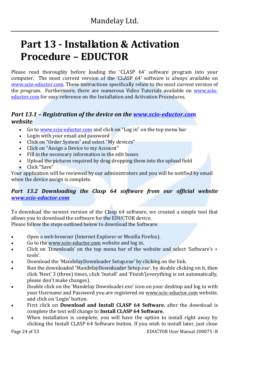# **Part 13 - Installation & Activation Procedure – EDUCTOR**

Please read thoroughly before loading the 'CLASP 64' software program into your computer. The most current version of the 'CLASP 64' software is always available on www.scio-eductor.com. These instructions specifically relate to the most current version of the program. Furthermore, there are numerous Video Tutorials available on www.scioeductor.com for easy reference on the Installation and Activation Procedures.

### *Part 13.1 – Registration of the device on the www.scio-eductor.com website*

- Go to <u>www.scio-eductor.com</u> and click on "Log in" on the top menu bar<br>• Login with your email and password
- Login with your email and password<br>• Click on "Order System" and select "M
- Click on "Order System" and select "My devices"<br>• Click on "Assign a Device to my Account"
- Click on "Assign a Device to my Account"
- Fill in the necessary information in the edit boxes<br>• Upload the pictures required by drag dropping the
- Upload the pictures required by drag dropping them into the upload field<br>• Click "Save"
- Click "Save"

Your application will be reviewed by our administrators and you will be notified by email when the device assign is complete.

### *Part 13.2 Downloading the Clasp 64 software from our official website www.scio-eductor.com*

To download the newest version of the Clasp 64 software, we created a simple tool that allows you to download the software for the EDUCTOR device.

Please follow the steps outlined below to download the Software:

- Open a web browser (Internet Explorer or Mozilla Firefox).
- Go to the www.scio-eductor.com website and log in.
- Click on 'Downloads' on the top menu bar of the website and select 'Software's + tools'.
- Download the 'MandelayDownloader Setup.exe' by clicking on the link.
- Run the downloaded 'MandelayDownloader Setup.exe', by double clicking on it, then click 'Next' 3 (three) times, click 'Install' and 'Finish'(everything is set automatically, please don't make changes).
- Double click on the 'Mandelay Downloader.exe' icon on your desktop and log in with your Username and Password you are registered on www.scio-eductor.com website, and click on 'Login' button.
- First click on **Download and Install CLASP 64 Software**, after the download is complete the text will change to **Install CLASP 64 Software.**
- When installation is complete, you will have the option to install right away by clicking the Install CLASP 64 Software button. If you wish to install later, just close

Page 24 of 53 EDUCTOR User Manual 200075 -B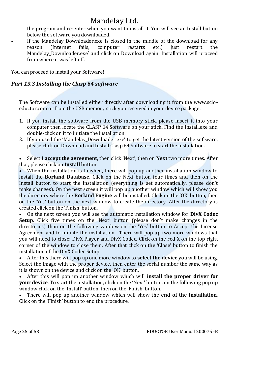the program and re-enter when you want to install it. You will see an Install button below the software you downloaded.

If the Mandelay\_Downloader.exe' is closed in the middle of the download for any reason (Internet fails. computer restarts etc.) just restart the reason (Internet fails, computer restarts etc.) just restart the Mandelay\_Downloader.exe' and click on Download again. Installation will proceed from where it was left off.

You can proceed to install your Software!

### *Part 13.3 Installing the Clasp 64 software*

The Software can be installed either directly after downloading it from the www.scioeductor.com or from the USB memory stick you received in your device package.

- 1. If you install the software from the USB memory stick, please insert it into your computer then locate the CLASP 64 Software on your stick. Find the Install.exe and double-click on it to initiate the installation.
- 2. If you used the 'Mandelay Downloader.exe' to get the latest version of the software, please click on Download and Install Clasp 64 Software to start the installation.

• Select **I accept the agreement,** then click 'Next', then on **Next** two more times. After that, please click on **Install** button.

When the installation is finished, there will pop up another installation window to install the **Borland Database**. Click on the Next button four times and then on the Install button to start the installation (everything is set automatically, please don't make changes). On the next screen it will pop up another window which will show you the directory where the **Borland Engine** will be installed. Click on the 'OK' button, then on the 'Yes' button on the next window to create the directory. After the directory is created click on the 'Finish' button.<br>• On the next screen you will see

• On the next screen you will see the automatic installation window for **DivX Codec Setup**. Click five times on the 'Next' button (please don't make changes in the directories) than on the following window on the 'Yes' button to Accept the License Agreement and to initiate the installation. There will pop up two more windows that you will need to close: DivX Player and DivX Codec. Click on the red X on the top right corner of the window to close them. After that click on the 'Close' button to finish the installation of the DivX Codec Setup.<br>• After this there will non un one n

• After this there will pop up one more window to **select the device** you will be using. Select the image with the proper device, then enter the serial number the same way as it is shown on the device and click on the 'OK' button.

• After this will pop up another window which will **install the proper driver for your device**. To start the installation, click on the 'Next' button, on the following pop up window click on the 'Install' button, then on the 'Finish' button.<br>• There will non un another window which will show the  $\epsilon$ 

• There will pop up another window which will show the **end of the installation**. Click on the 'Finish' button to end the procedure.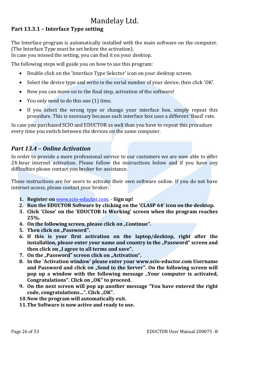### **Part 13.3.1 – Interface Type setting**

The Interface program is automatically installed with the main software on the computer. (The Interface Type must be set before the activation).

In case you missed the setting, you can find it on your desktop.

The following steps will guide you on how to use this program:

- Double click on the 'Interface Type Selector' icon on your desktop screen.
- Select the device type and write in the serial number of your device, then click 'OK'.
- Now you can move on to the final step, activation of the software!
- You only need to do this one (1) time.
- If you select the wrong type or change your interface box, simply repeat this procedure. This is necessary because each interface box uses a different 'Baud' rate.

In case you purchased SCIO and EDUCTOR as well than you have to repeat this procedure every time you switch between the devices on the same computer.

### *Part 13.4 – Online Activation*

In order to provide a more professional service to our customers we are now able to offer 24-hour internet activation. Please follow the instructions below and if you have any difficulties please contact you broker for assistance.

These instructions are for users to activate their own software online. If you do not have internet access, please contact your broker.

- **1. Register on** www.scio-eductor.com. **Sign up!**
- **2. Run the EDUCTOR Software by clicking on the 'CLASP 64' icon on the desktop.**
- **3. Click 'Close' on the 'EDUCTOR Is Working' screen when the program reaches 25%.**
- **4.** On the following screen, please click on "Continue".
- **5.** Then click on "Password".
- **6. If this is your first activation on the laptop/desktop, right after the**  installation, please enter your name and country in the "Password" screen and then click on "I agree to all terms and save".
- 7. On the "Password" screen click on "Activation".
- **8. In the 'Activation window' please enter your www.scio-eductor.com Username**  and Password and click on "Send to the Server". On the following screen will **pop up a window with the following message "Your computer is activated,** Congratulations". Click on "OK" to proceed.
- **9. On the next screen will pop up another message "You have entered the right**  code, congratulations...". Click "OK".
- **10.Now the program will automatically exit.**
- **11.The Software is now active and ready to use.**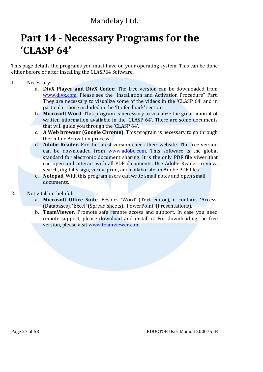# **Part 14 - Necessary Programs for the 'CLASP 64'**

This page details the programs you must have on your operating system. This can be done either before or after installing the CLASP64 Software.

- 1. Necessary:
	- a. **DivX Player and DivX Codec:** The free version can be downloaded from www.divx.com. Please see the "Installation and Activation Procedure" Part. They are necessary to visualize some of the videos in the 'CLASP 64' and in particular those included in the 'Biofeedback' section.
	- b. **Microsoft Word**. This program is necessary to visualize the great amount of written information available in the 'CLASP 64'. There are some documents that will guide you through the 'CLASP 64'.
	- c. **A Web browser (Google Chrome).** This program is necessary to go through the Online Activation process.
	- d. **Adobe Reader.** For the latest version check their website. The free version can be downloaded from www.adobe.com. This software is the global standard for electronic document sharing. It is the only PDF file viwer that can open and interact with all PDF documents. Use Adobe Reader to view, search, digitally sign, verify, print, and collaborate on Adobe PDF files.
	- e. **Notepad**. With this program users can write small notes and open small documents.

#### 2. Not vital but helpful:

- a. **Microsoft Office Suite**. Besides 'Word' (Text editor), it contains 'Access' (Databases), 'Excel' (Spread sheets), 'PowerPoint' (Presentations).
- b. **TeamViewer.** Promote safe remote access and support. In case you need remote support, please download and install it. For downloading the free version, please visit www.teamviewer.com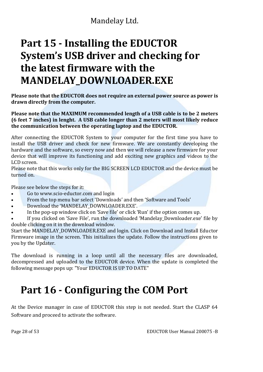# **Part 15 - Installing the EDUCTOR System's USB driver and checking for the latest firmware with the MANDELAY\_DOWNLOADER.EXE**

**Please note that the EDUCTOR does not require an external power source as power is drawn directly from the computer.**

**Please note that the MAXIMUM recommended length of a USB cable is to be 2 meters (6 feet 7 inches) in lenght. A USB cable longer than 2 meters will most likely reduce the communication between the operating laptop and the EDUCTOR.**

After connecting the EDUCTOR System to your computer for the first time you have to install the USB driver and check for new firmware. We are constantly developing the hardware and the software, so every now and then we will release a new firmware for your device that will improve its functioning and add exciting new graphics and videos to the LCD screen.

Please note that this works only for the BIG SCREEN LCD EDUCTOR and the device must be turned on.

Please see below the steps for it:

- Go to www.scio-eductor.com and login
- From the top menu bar select 'Downloads' and then 'Software and Tools'
- Download the 'MANDELAY\_DOWNLOADER.EXE'.
- In the pop-up window click on 'Save file' or click 'Run' if the option comes up.

If you clicked on 'Save File', run the downloaded 'Mandelay Downloader.exe' file by double clicking on it in the download window.

Start the MANDELAY\_DOWNLOADER.EXE and login. Click on Download and Install Eductor Firmware image in the screen. This initializes the update. Follow the instructions given to you by the Updater.

The download is running in a loop until all the necessary files are downloaded, decompressed and uploaded to the EDUCTOR device. When the update is completed the following message pops up: "Your EDUCTOR IS UP TO DATE"

# **Part 16 - Configuring the COM Port**

At the Device manager in case of EDUCTOR this step is not needed. Start the CLASP 64 Software and proceed to activate the software.

Page 28 of 53 EDUCTOR User Manual 200075 -B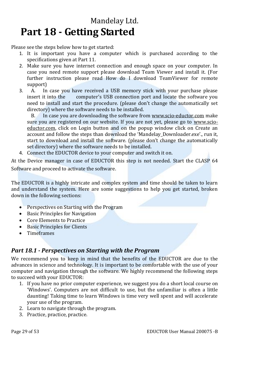# Mandelay Ltd. **Part 18 - Getting Started**

Please see the steps below how to get started:

- 1. It is important you have a computer which is purchased according to the specifications given at Part 11.
- 2. Make sure you have internet connection and enough space on your computer. In case you need remote support please download Team Viewer and install it. (For further instruction please read How do I download TeamViewer for remote support)<br>A. In
- 3. A. In case you have received a USB memory stick with your purchase please insert it into the computer's USB connection port and locate the software you computer's USB connection port and locate the software you need to install and start the procedure. (please don't change the automatically set directory) where the software needs to be installed.<br>B. In case you are downloading the software from

In case you are downloading the software from www.scio-eductor.com make sure you are registered on our website. If you are not yet, please go to www.scioeductor.com, click on Login button and on the popup window click on Create an account and follow the steps than download the 'Mandelay\_Downloader.exe'., run it, start to download and install the software. (please don't change the automatically set directory) where the software needs to be installed.

4. Connect the EDUCTOR device to your computer and switch it on.

At the Device manager in case of EDUCTOR this step is not needed. Start the CLASP 64 Software and proceed to activate the software.

The EDUCTOR is a highly intricate and complex system and time should be taken to learn and understand the system. Here are some suggestions to help you get started, broken down in the following sections:

- Perspectives on Starting with the Program
- Basic Principles for Navigation
- Core Elements to Practice<br>• Basic Principles for Clients
- **Basic Principles for Clients**
- Timeframes

### *Part 18.1 - Perspectives on Starting with the Program*

We recommend you to keep in mind that the benefits of the EDUCTOR are due to the advances in science and technology. It is important to be comfortable with the use of your computer and navigation through the software. We highly recommend the following steps to succeed with your EDUCTOR:

- 1. If you have no prior computer experience, we suggest you do a short local course on 'Windows'. Computers are not difficult to use, but the unfamiliar is often a little daunting! Taking time to learn Windows is time very well spent and will accelerate your use of the program.
- 2. Learn to navigate through the program.
- 3. Practice, practice, practice.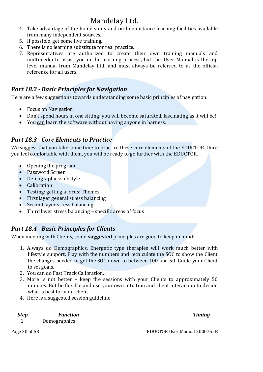- 4. Take advantage of the home study and on-line distance learning facilities available from many independent sources.
- 5. If possible, get some live training.
- 6. There is no learning substitute for real practice.
- 7. Representatives are authorized to create their own training manuals and multimedia to assist you in the learning process, but this User Manual is the top level manual from Mandelay Ltd. and must always be referred to as the official reference for all users.

### *Part 18.2 - Basic Principles for Navigation*

Here are a few suggestions towards understanding some basic principles of navigation:

- Focus on Navigation
- Don't spend hours in one sitting: you will become saturated, fascinating as it will be!
- You can learn the software without having anyone in harness.

### *Part 18.3 - Core Elements to Practice*

We suggest that you take some time to practice these core elements of the EDUCTOR. Once you feel comfortable with them, you will be ready to go further with the EDUCTOR.

- Opening the program
- Password Screen
- Demographics: lifestyle
- Calibration
- Testing: getting a focus: Themes
- First layer general stress balancing
- Second layer stress balancing<br>• Third layer stress balancing -
- Third layer stress balancing specific areas of focus

### *Part 18.4 - Basic Principles for Clients*

When meeting with Clients, some **suggested** principles are good to keep in mind:

- 1. Always do Demographics. Energetic type therapies will work much better with lifestyle support. Play with the numbers and recalculate the SOC to show the Client the changes needed to get the SOC down to between 100 and 50. Guide your Client to set goals.
- 2. You can do Fast Track Calibration.
- 3. More is not better keep the sessions with your Clients to approximately 50 minutes. But be flexible and use your own intuition and client interaction to decide what is best for your client.
- 4. Here is a suggested session guideline:

*Step Function Timing* 1 Demographics

Page 30 of 53 EDUCTOR User Manual 200075 -B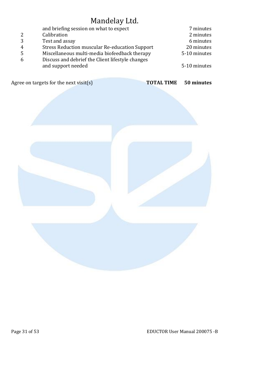|   | and briefing session on what to expect                | 7 minutes    |
|---|-------------------------------------------------------|--------------|
| 2 | Calibration                                           | 2 minutes    |
| 3 | Test and assay                                        | 6 minutes    |
| 4 | <b>Stress Reduction muscular Re-education Support</b> | 20 minutes   |
| 5 | Miscellaneous multi-media biofeedback therapy         | 5-10 minutes |
| 6 | Discuss and debrief the Client lifestyle changes      |              |
|   | and support needed                                    | 5-10 minutes |
|   |                                                       |              |

Agree on targets for the next visit(s) **TOTAL TIME** 50 minutes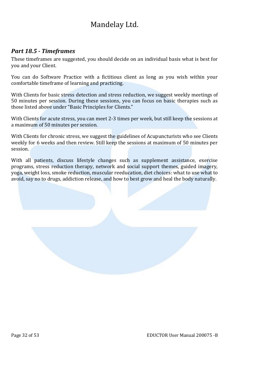### *Part 18.5 - Timeframes*

These timeframes are suggested, you should decide on an individual basis what is best for you and your Client.

You can do Software Practice with a fictitious client as long as you wish within your comfortable timeframe of learning and practicing.

With Clients for basic stress detection and stress reduction, we suggest weekly meetings of 50 minutes per session. During these sessions, you can focus on basic therapies such as those listed above under "Basic Principles for Clients."

With Clients for acute stress, you can meet 2-3 times per week, but still keep the sessions at a maximum of 50 minutes per session.

With Clients for chronic stress, we suggest the guidelines of Acupuncturists who see Clients weekly for 6 weeks and then review. Still keep the sessions at maximum of 50 minutes per session.

With all patients, discuss lifestyle changes such as supplement assistance, exercise programs, stress reduction therapy, network and social support themes, guided imagery, yoga, weight loss, smoke reduction, muscular reeducation, diet choices: what to use what to avoid, say no to drugs, addiction release, and how to best grow and heal the body naturally.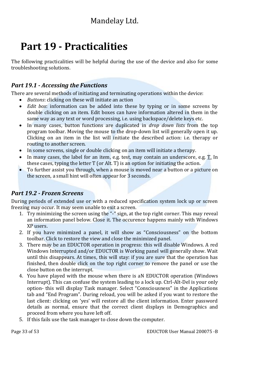# **Part 19 - Practicalities**

The following practicalities will be helpful during the use of the device and also for some troubleshooting solutions.

### *Part 19.1 - Accessing the Functions*

There are several methods of initiating and terminating operations within the device:

- *Buttons*: clicking on these will initiate an action
- *Edit box*: information can be added into these by typing or in some screens by double clicking on an item. Edit boxes can have information altered in them in the same way as any text or word processing, i.e. using backspace/delete keys etc.
- In many cases, button functions are duplicated in *drop down lists* from the top program toolbar. Moving the mouse to the drop-down list will generally open it up. Clicking on an item in the list will initiate the described action: i.e. therapy or routing to another screen.
- In some screens, single or double clicking on an item will initiate a therapy.
- In many cases, the label for an item, e.g. test, may contain an underscore, e.g.  $T$ . In these cases, typing the letter T (or Alt. T) is an option for initiating the action.
- To further assist you through, when a mouse is moved near a button or a picture on the screen, a small hint will often appear for 3 seconds.

### *Part 19.2 - Frozen Screens*

During periods of extended use or with a reduced specification system lock up or screen freezing may occur. It may seem unable to exit a screen.

- 1. Try minimizing the screen using the "-" sign, at the top right corner. This may reveal an information panel below. Close it. The occurence happens mainly with Windows XP users.
- 2. If you have minimized a panel, it will show as "Consciousness" on the bottom toolbar. Click to restore the view and close the minimized panel.
- 3. There may be an EDUCTOR operation in progress: this will disable Windows. A red Windows Interrupted and/or EDUCTOR is Working panel will generally show. Wait until this disappears. At times, this will stay: if you are sure that the operation has finished, then double click on the top right corner to remove the panel or use the close button on the interrupt.
- 4. You have played with the mouse when there is aN EDUCTOR operation (Windows Interrupt). This can confuse the system leading to a lock up. Ctrl-Alt-Del is your only option- this will display Task manager. Select "Consciousness" in the Applications tab and "End Program". During reload, you will be asked if you want to restore the last client: clicking on 'yes' will restore all the client information. Enter password details as normal, ensure that the correct client displays in Demographics and proceed from where you have left off.
- 5. If this fails use the task manager to close down the computer.

Page 33 of 53 EDUCTOR User Manual 200075 -B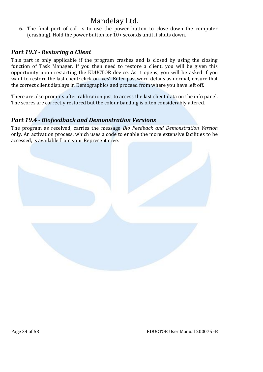6. The final port of call is to use the power button to close down the computer (crashing). Hold the power button for 10+ seconds until it shuts down.

### *Part 19.3 - Restoring a Client*

This part is only applicable if the program crashes and is closed by using the closing function of Task Manager. If you then need to restore a client, you will be given this opportunity upon restarting the EDUCTOR device. As it opens, you will be asked if you want to restore the last client: click on 'yes'. Enter password details as normal, ensure that the correct client displays in Demographics and proceed from where you have left off.

There are also prompts after calibration just to access the last client data on the info panel. The scores are correctly restored but the colour banding is often considerably altered.

### *Part 19.4 - Biofeedback and Demonstration Versions*

The program as received, carries the message *Bio Feedback and Demonstration Version*  only. An activation process, which uses a code to enable the more extensive facilities to be accessed, is available from your Representative.

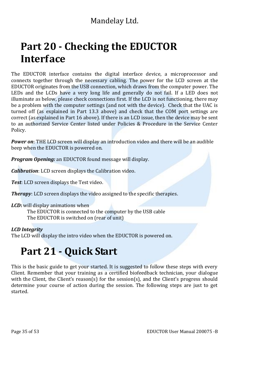# **Part 20 - Checking the EDUCTOR Interface**

The EDUCTOR interface contains the digital interface device, a microprocessor and connects together through the necessary cabling. The power for the LCD screen at the EDUCTOR originates from the USB connection, which draws from the computer power. The LEDs and the LCDs have a very long life and generally do not fail. If a LED does not illuminate as below, please check connections first. If the LCD is not functioning, there may be a problem with the computer settings (and not with the device). Check that the UAC is turned off (as explained in Part 13.3 above) and check that the COM port settings are correct (as explained in Part 16 above). If there is an LCD issue, then the device may be sent to an authorized Service Center listed under Policies & Procedure in the Service Center Policy.

*Power on*: THE LCD screen will display an introduction video and there will be an audible beep when the EDUCTOR is powered on.

*Program Opening:* an EDUCTOR found message will display.

*Calibration*: LCD screen displays the Calibration video.

*Test*: LCD screen displays the Test video.

**Therapy**: LCD screen displays the video assigned to the specific therapies.

#### *LCD***:** will display animations when

The EDUCTOR is connected to the computer by the USB cable The EDUCTOR is switched on (rear of unit)

#### *LCD Integrity*

The LCD will display the intro video when the EDUCTOR is powered on.

# **Part 21 - Quick Start**

This is the basic guide to get your started. It is suggested to follow these steps with every Client. Remember that your training as a certified biofeedback technician, your dialogue with the Client, the Client's reason(s) for the session(s), and the Client's progress should determine your course of action during the session. The following steps are just to get started.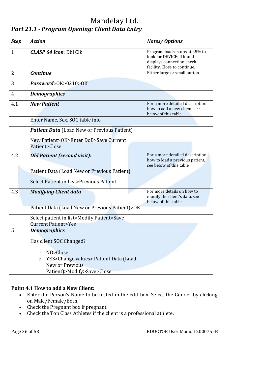### Mandelay Ltd. *Part 21.1 - Program Opening: Client Data Entry*

| <b>Step</b>  | <b>Action</b>                                                                                                                | <b>Notes/Options</b>                                                                                                     |
|--------------|------------------------------------------------------------------------------------------------------------------------------|--------------------------------------------------------------------------------------------------------------------------|
| $\mathbf{1}$ | <b>CLASP 64 Icon: Dbl Clk</b>                                                                                                | Program loads: stops at 25% to<br>look for DEVICE: if found<br>displays connection check<br>facility. Close to continue. |
| 2            | <b>Continue</b>                                                                                                              | Either large or small button                                                                                             |
| 3            | Password>OK>0210>OK                                                                                                          |                                                                                                                          |
| 4            | <b>Demographics</b>                                                                                                          |                                                                                                                          |
| 4.1          | <b>New Patient</b>                                                                                                           | For a more detailed description<br>how to add a new client, see<br>below of this table                                   |
|              | Enter Name, Sex, SOC table info                                                                                              |                                                                                                                          |
|              | <b>Patient Data</b> (Load New or Previous Patient)                                                                           |                                                                                                                          |
|              | New Patient>OK>Enter DoB>Save Current<br>Patient>Close                                                                       |                                                                                                                          |
| 4.2          | <b>Old Patient (second visit):</b>                                                                                           | For a more detailed description<br>how to load a previous patient,<br>see below of this table                            |
|              | Patient Data (Load New or Previous Patient)                                                                                  |                                                                                                                          |
|              | Select Patient in List>Previous Patient                                                                                      |                                                                                                                          |
| 4.3          | <b>Modifying Client data</b>                                                                                                 | For more details on how to<br>modify the client's data, see<br>below of this table                                       |
|              | Patient Data (Load New or Previous Patient)>OK                                                                               |                                                                                                                          |
|              | Select patient in list>Modify Patient>Save<br><b>Current Patient&gt;Yes</b>                                                  |                                                                                                                          |
| 5            | <b>Demographics</b>                                                                                                          |                                                                                                                          |
|              | Has client SOC Changed?<br>NO>Close<br>$\circ$<br>YES>Change values> Patient Data (Load<br>$\circ$<br><b>New or Previous</b> |                                                                                                                          |
|              | Patient)>Modify>Save>Close                                                                                                   |                                                                                                                          |

### **Point 4.1 How to add a New Client:**

- Enter the Person's Name to be tested in the edit box. Select the Gender by clicking on Male/Female/Both.
- Check the Pregnant box if pregnant.
- Check the Top Class Athletes if the client is a professional athlete.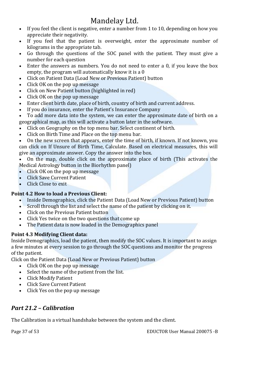- If you feel the client is negative, enter a number from 1 to 10, depending on how you appreciate their negativity.
- If you feel that the patient is overweight, enter the approximate number of kilograms in the appropriate tab.
- Go through the questions of the SOC panel with the patient. They must give a number for each question
- Enter the answers as numbers. You do not need to enter a 0, if you leave the box empty, the program will automatically know it is a 0
- Click on Patient Data (Load New or Previous Patient) button
- Click OK on the pop up message
- Click on New Patient button (highlighted in red)
- Click OK on the pop up message
- Enter client birth date, place of birth, country of birth and current address.<br>• If you do insurance, enter the Patient's Insurance Company
- If you do insurance, enter the Patient's Insurance Company
- To add more data into the system, we can enter the approximate date of birth on a geographical map, as this will activate a button later in the software.<br>• Click on Geography on the top menu bar. Select continent of birth
- Click on Geography on the top menu bar. Select continent of birth.<br>• Click on Birth Time and Place on the top menu bar
- Click on Birth Time and Place on the top menu bar.

• On the new screen that appears, enter the time of birth, if known. If not known, you can click on If Unsure of Birth Time, Calculate. Based on electrical measures, this will give an approximate answer. Copy the answer into the box.

• On the map, double click on the approximate place of birth (This activates the Medical Astrology button in the Biorhythm panel)<br>• Click OK on the pop up message

- Click OK on the pop up message<br>• Click Save Current Patient
- Click Save Current Patient
- Click Close to exit

### **Point 4.2 How to load a Previous Client:**

- Inside Demographics, click the Patient Data (Load New or Previous Patient) button<br>• Scroll through the list and select the name of the patient by clicking on it.
- Scroll through the list and select the name of the patient by clicking on it.
- Click on the Previous Patient button
- Click Yes twice on the two questions that come up
- The Patient data is now loaded in the Demographics panel

### **Point 4.3 Modifying Client data:**

Inside Demographics, load the patient, then modify the SOC values. It is important to assign a few minutes at every session to go through the SOC questions and monitor the progress of the patient.

Click on the Patient Data (Load New or Previous Patient) button

- Click OK on the pop up message
- Select the name of the patient from the list.
- Click Modify Patient
- Click Save Current Patient
- Click Yes on the pop up message

### *Part 21.2 – Calibration*

The Calibration is a virtual handshake between the system and the client.

Page 37 of 53 EDUCTOR User Manual 200075 -B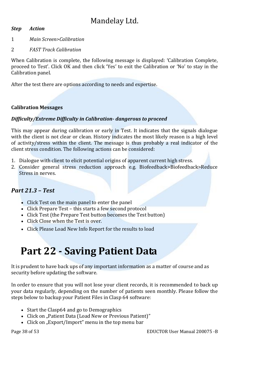#### *Step Action*

- 1 *Main Screen>Calibration*
- 2 *FAST Track Calibration*

When Calibration is complete, the following message is displayed: 'Calibration Complete, proceed to Test'. Click OK and then click 'Yes' to exit the Calibration or 'No' to stay in the Calibration panel.

After the test there are options according to needs and expertise.

#### **Calibration Messages**

#### *Difficulty/Extreme Difficulty in Calibration- dangerous to proceed*

This may appear during calibration or early in Test. It indicates that the signals dialogue with the client is not clear or clean. History indicates the most likely reason is a high level of activity/stress within the client. The message is thus probably a real indicator of the client stress condition. The following actions can be considered:

- 1. Dialogue with client to elicit potential origins of apparent current high stress.
- 2. Consider general stress reduction approach e.g. Biofeedback>Biofeedback>Reduce Stress in nerves.

### *Part 21.3 – Test*

- Click Test on the main panel to enter the panel
- Click Prepare Test this starts a few second protocol
- Click Test (the Prepare Test button becomes the Test button)
- Click Close when the Test is over.
- Click Please Load New Info Report for the results to load

# **Part 22 - Saving Patient Data**

It is prudent to have back ups of any important information as a matter of course and as security before updating the software.

In order to ensure that you will not lose your client records, it is recommended to back up your data regularly, depending on the number of patients seen monthly. Please follow the steps below to backup your Patient Files in Clasp 64 software:

- Start the Clasp64 and go to Demographics
- Click on "Patient Data (Load New or Previous Patient)"
- Click on "Export/Import" menu in the top menu bar

Page 38 of 53 EDUCTOR User Manual 200075 -B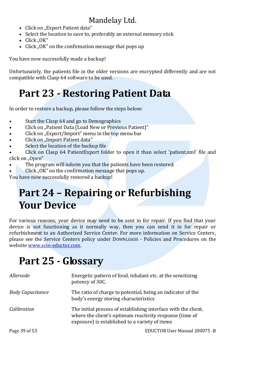- Click on "Export Patient data"
- Select the location to save to, preferably an external memory stick
- $\bullet$  Click "OK"
- Click "OK" on the confirmation message that pops up

You have now successfully made a backup!

Unfortunately, the patients file in the older versions are encrypted differently and are not compatible with Clasp 64 software to be used.

# **Part 23 - Restoring Patient Data**

In order to restore a backup, please follow the steps below:

- Start the Clasp 64 and go to Demographics
- Click on "Patient Data (Load New or Previous Patient)"
- Click on "Export/Import" menu in the top menu bar
- Click on "Import Patient data"
- Select the location of the backup file

• Click on Clasp 64 PatientExport folder to open it than select 'patient.xml' file and click on "Open"

- The program will inform you that the patients have been restored.
- Click "OK" on the confirmation message that pops up.

You have now successfully restored a backup!

# **Part 24 – Repairing or Refurbishing Your Device**

For various reasons, your device may need to be sent in for repair. If you find that your device is not functioning as it normally way, then you can send it in for repair or refurbishment to an Authorized Service Center. For more information on Service Centers, please see the Service Centers policy under DOWNLOADS - Policies and Procedures on the website www.scio-eductor.com.

# **Part 25 - Glossary**

| Allersode               | Energetic pattern of food, inhalant etc. at the sensitizing<br>potency of 30C.                                                                                              |
|-------------------------|-----------------------------------------------------------------------------------------------------------------------------------------------------------------------------|
| <b>Body Capacitance</b> | The ratio of charge to potential, being an indicator of the<br>body's energy storing characteristics                                                                        |
| Calibration             | The initial process of establishing interface with the client,<br>where the client's optimum reactivity response (time of<br>exposure) is established to a variety of items |
| Page 39 of 53           | EDUCTOR User Manual 200075 -B                                                                                                                                               |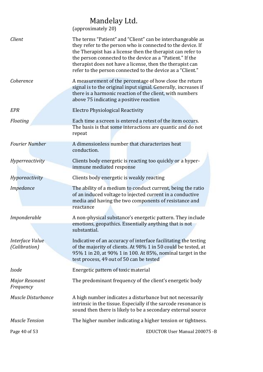|                                  | Mandelay Ltd.<br>(approximately 20)                                                                                                                                                                                                                                                                                                                                              |
|----------------------------------|----------------------------------------------------------------------------------------------------------------------------------------------------------------------------------------------------------------------------------------------------------------------------------------------------------------------------------------------------------------------------------|
| Client                           | The terms "Patient" and "Client" can be interchangeable as<br>they refer to the person who is connected to the device. If<br>the Therapist has a license then the therapist can refer to<br>the person connected to the device as a "Patient." If the<br>therapist does not have a license, then the therapist can<br>refer to the person connected to the device as a "Client." |
| Coherence                        | A measurement of the percentage of how close the return<br>signal is to the original input signal. Generally, increases if<br>there is a harmonic reaction of the client, with numbers<br>above 75 indicating a positive reaction                                                                                                                                                |
| <b>EPR</b>                       | <b>Electro Physiological Reactivity</b>                                                                                                                                                                                                                                                                                                                                          |
| Floating                         | Each time a screen is entered a retest of the item occurs.<br>The basis is that some interactions are quantic and do not<br>repeat                                                                                                                                                                                                                                               |
| <b>Fourier Number</b>            | A dimensionless number that characterizes heat<br>conduction.                                                                                                                                                                                                                                                                                                                    |
| Hyperreactivity                  | Clients body energetic is reacting too quickly or a hyper-<br>immune mediated response                                                                                                                                                                                                                                                                                           |
| Hyporeactivity                   | Clients body energetic is weakly reacting                                                                                                                                                                                                                                                                                                                                        |
| Impedance                        | The ability of a medium to conduct current, being the ratio<br>of an induced voltage to injected current in a conductive<br>media and having the two components of resistance and<br>reactance                                                                                                                                                                                   |
| Imponderable                     | A non-physical substance's energetic pattern. They include<br>emotions, geopathics. Essentially anything that is not<br>substantial.                                                                                                                                                                                                                                             |
| Interface Value<br>(Calibration) | Indicative of an accuracy of interface facilitating the testing<br>of the majority of clients. At 98% 1 in 50 could be tested, at<br>95% 1 in 20, at 90% 1 in 100. At 85%, nominal target in the<br>test process, 49 out of 50 can be tested                                                                                                                                     |
| <b>Isode</b>                     | Energetic pattern of toxic material                                                                                                                                                                                                                                                                                                                                              |
| Major Resonant<br>Frequency      | The predominant frequency of the client's energetic body                                                                                                                                                                                                                                                                                                                         |
| Muscle Disturbance               | A high number indicates a disturbance but not necessarily<br>intrinsic in the tissue. Especially if the sarcode resonance is<br>sound then there is likely to be a secondary external source                                                                                                                                                                                     |
| <b>Muscle Tension</b>            | The higher number indicating a higher tension or tightness.                                                                                                                                                                                                                                                                                                                      |
| Page 40 of 53                    | EDUCTOR User Manual 200075 -B                                                                                                                                                                                                                                                                                                                                                    |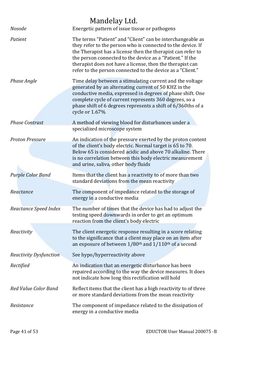| <b>Nosode</b>                 | Mandelay Ltd.<br>Energetic pattern of issue tissue or pathogens                                                                                                                                                                                                                                                                                                                  |
|-------------------------------|----------------------------------------------------------------------------------------------------------------------------------------------------------------------------------------------------------------------------------------------------------------------------------------------------------------------------------------------------------------------------------|
| Patient                       | The terms "Patient" and "Client" can be interchangeable as<br>they refer to the person who is connected to the device. If<br>the Therapist has a license then the therapist can refer to<br>the person connected to the device as a "Patient." If the<br>therapist does not have a license, then the therapist can<br>refer to the person connected to the device as a "Client." |
| Phase Angle                   | Time delay between a stimulating current and the voltage<br>generated by an alternating current of 50 KHZ in the<br>conductive media, expressed in degrees of phase shift. One<br>complete cycle of current represents 360 degrees, so a<br>phase shift of 6 degrees represents a shift of 6/360ths of a<br>cycle or 1.67%                                                       |
| <b>Phase Contrast</b>         | A method of viewing blood for disturbances under a<br>specialized microscope system                                                                                                                                                                                                                                                                                              |
| <b>Proton Pressure</b>        | An indication of the pressure exerted by the proton content<br>of the client's body electric. Normal target is 65 to 70.<br>Below 65 is considered acidic and above 70 alkaline. There<br>is no correlation between this body electric measurement<br>and urine, saliva, other body fluids                                                                                       |
| <b>Purple Color Band</b>      | Items that the client has a reactivity to of more than two<br>standard deviations from the mean reactivity                                                                                                                                                                                                                                                                       |
| Reactance                     | The component of impedance related to the storage of<br>energy in a conductive media                                                                                                                                                                                                                                                                                             |
| Reactance Speed Index         | The number of times that the device has had to adjust the<br>testing speed downwards in order to get an optimum<br>reaction from the client's body electric                                                                                                                                                                                                                      |
| Reactivity                    | The client energetic response resulting in a score relating<br>to the significance that a client may place on an item after<br>an exposure of between $1/80$ <sup>th</sup> and $1/110$ <sup>th</sup> of a second                                                                                                                                                                 |
| <b>Reactivity Dysfunction</b> | See hypo/hyperreactivity above                                                                                                                                                                                                                                                                                                                                                   |
| Rectified                     | An indication that an energetic disturbance has been<br>repaired according to the way the device measures. It does<br>not indicate how long this rectification will hold                                                                                                                                                                                                         |
| Red Value Color Band          | Reflect items that the client has a high reactivity to of three<br>or more standard deviations from the mean reactivity                                                                                                                                                                                                                                                          |
| Resistance                    | The component of impedance related to the dissipation of<br>energy in a conductive media                                                                                                                                                                                                                                                                                         |
| Page 41 of 53                 | EDUCTOR User Manual 200075 -B                                                                                                                                                                                                                                                                                                                                                    |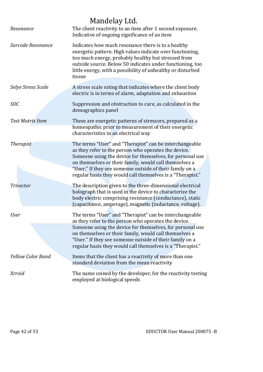|                          | Mandelay Ltd.                                                                                                                                                                                                                                                                                                                                                    |
|--------------------------|------------------------------------------------------------------------------------------------------------------------------------------------------------------------------------------------------------------------------------------------------------------------------------------------------------------------------------------------------------------|
| Resonance                | The client reactivity to an item after 1 second exposure.<br>Indicative of ongoing significance of an item                                                                                                                                                                                                                                                       |
| Sarcode Resonance        | Indicates how much resonance there is to a healthy<br>energetic pattern. High values indicate over functioning,<br>too much energy, probably healthy but stressed from<br>outside source. Below 50 indicates under functioning, too<br>little energy, with a possibility of unhealthy or disturbed<br>tissue                                                     |
| Selye Stress Scale       | A stress scale rating that indicates where the client body<br>electric is in terms of alarm, adaptation and exhaustion                                                                                                                                                                                                                                           |
| SOC                      | Suppression and obstruction to cure, as calculated in the<br>demographics panel                                                                                                                                                                                                                                                                                  |
| <b>Test Matrix Item</b>  | These are energetic patterns of stressors, prepared as a<br>homeopathic prior to measurement of their energetic<br>characteristics in an electrical way                                                                                                                                                                                                          |
| <b>Therapist</b>         | The terms "User" and "Therapist" can be interchangeable<br>as they refer to the person who operates the device.<br>Someone using the device for themselves, for personal use<br>on themselves or their family, would call themselves a<br>"User." If they see someone outside of their family on a<br>regular basis they would call themselves is a "Therapist." |
| <b>Trivector</b>         | The description given to the three-dimensional electrical<br>holograph that is used in the device to characterize the<br>body electric comprising resistance (conductance), static<br>(capacitance, amperage), magnetic (inductance, voltage).                                                                                                                   |
| <b>User</b>              | The terms "User" and "Therapist" can be interchangeable<br>as they refer to the person who operates the device.<br>Someone using the device for themselves, for personal use<br>on themselves or their family, would call themselves a<br>"User." If they see someone outside of their family on a<br>regular basis they would call themselves is a "Therapist." |
| <b>Yellow Color Band</b> | Items that the client has a reactivity of more than one<br>standard deviation from the mean reactivity                                                                                                                                                                                                                                                           |
| <b>Xrroid</b>            | The name coined by the developer, for the reactivity testing<br>employed at biological speeds                                                                                                                                                                                                                                                                    |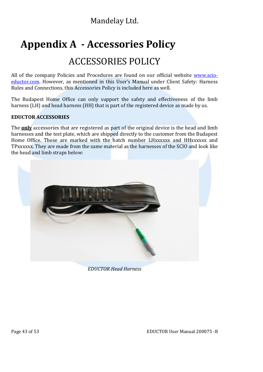# **Appendix A - Accessories Policy**

# ACCESSORIES POLICY

All of the company Policies and Procedures are found on our official website **www.scio**eductor.com. However, as mentioned in this User's Manual under Client Safety: Harness Rules and Connections, this Accessories Policy is included here as well.

The Budapest Home Office can only support the safety and effectiveness of the limb harness (LH) and head harness (HH) that is part of the registered device as made by us.

### **EDUCTOR ACCESSORIES**

The **only** accessories that are registered as part of the original device is the head and limb harnesses and the test plate, which are shipped directly to the customer from the Budapest Home Office. These are marked with the batch number LHxxxxxx and HHxxxxxx and TPxxxxxx. They are made from the same material as the harnesses of the SCIO and look like the head and limb straps below:



*EDUCTOR Head Harness*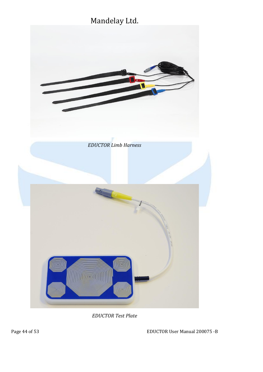



*EDUCTOR Test Plate*

Page 44 of 53 EDUCTOR User Manual 200075 -B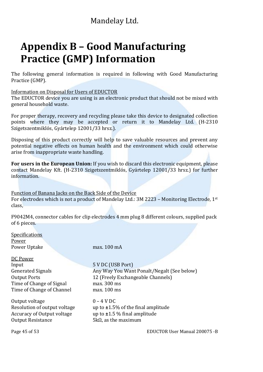# **Appendix B – Good Manufacturing Practice (GMP) Information**

The following general information is required in following with Good Manufacturing Practice (GMP).

Information on Disposal for Users of EDUCTOR

The EDUCTOR device you are using is an electronic product that should not be mixed with general household waste.

For proper therapy, recovery and recycling please take this device to designated collection points where they may be accepted or return it to Mandelay Ltd. (H-2310 Szigetszentmiklós, Gyártelep 12001/33 hrsz.).

Disposing of this product correctly will help to save valuable resources and prevent any potential negative effects on human health and the environment which could otherwise arise from inappropriate waste handling.

**For users in the European Union:** If you wish to discard this electronic equipment, please contact Mandelay Kft. (H-2310 Szigetszentmiklós, Gyártelep 12001/33 hrsz.) for further information.

Function of Banana Jacks on the Back Side of the Device For electrodes which is not a product of Mandelay Ltd.: 3M 2223 – Monitoring Electrode, 1st class,

F9042M4, connector cables for clip electrodes 4 mm plug 8 different colours, supplied pack of 6 pieces.

**Specifications** Power Power Uptake max. 100 mA

DC Power<br>Input Input<br>Generated Signals 5 V DC (USB Port)<br>Any Way You Wan Time of Change of Signal max. 300 ms<br>Time of Change of Channel max. 100 ms Time of Change of Channel

Output voltage  $0 - 4$  V DC<br>Resolution of output voltage  $0 - 4$  V DC Accuracy of Output voltage<br>Output Resistance

Generated Signals<br>
Output Ports<br>  $\begin{array}{ccc}\n\text{Output Ports} \\
\text{Output Ports}\n\end{array}$ Any Way You Want Ponalt/Negalt (See below) 12 (Freely Exchangeable Channels)<br>max. 300 ms

> up to **±**1.5% of the final amplitude up to **±**1.5 % final amplitude  $5kΩ$ , as the maximum

Page 45 of 53 EDUCTOR User Manual 200075 -B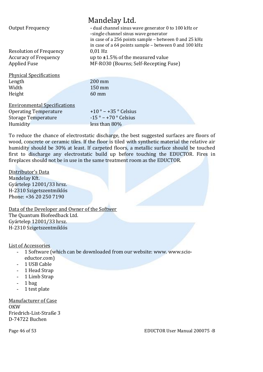|                                     | Mandelay Ltd.                                                                                                  |
|-------------------------------------|----------------------------------------------------------------------------------------------------------------|
| <b>Output Frequency</b>             | - dual channel sinus wave generator 0 to 100 kHz or<br>-single channel sinus wave generator                    |
|                                     | in case of a 256 points sample - between 0 and 25 kHz<br>in case of a 64 points sample - between 0 and 100 kHz |
| <b>Resolution of Frequency</b>      | $0.01$ Hz                                                                                                      |
| <b>Accuracy of Frequency</b>        | up to $\pm 1.5\%$ of the measured value                                                                        |
| <b>Applied Fuse</b>                 | MF-RO30 (Bourns; Self-Recepting Fuse)                                                                          |
| <b>Physical Specifications</b>      |                                                                                                                |
| Length                              | $200$ mm                                                                                                       |
| Width                               | 150 mm                                                                                                         |
| Height                              | $60 \text{ mm}$                                                                                                |
| <b>Environmental Specifications</b> |                                                                                                                |
| <b>Operating Temperature</b>        | $+10$ ° – $+35$ ° Celsius                                                                                      |
| <b>Storage Temperature</b>          | $-15$ $^{\circ}$ – +70 $^{\circ}$ Celsius                                                                      |
| Humidity                            | less than 80%                                                                                                  |

To reduce the chance of electrostatic discharge, the best suggested surfaces are floors of wood, concrete or ceramic tiles. If the floor is tiled with synthetic material the relative air humidity should be 30% at least. If carpeted floors, a metallic surface should be touched first to discharge any electrostatic build up before touching the EDUCTOR. Fires in fireplaces should not be in use in the same treatment room as the EDUCTOR.

Distributor's Data Mandelay Kft. Gyártelep 12001/33 hrsz. H-2310 Szigetszentmiklós Phone: +36 20 250 7190

Data of the Developer and Owner of the Softwer The Quantum Biofeedback Ltd. Gyártelep 12001/33 hrsz. H-2310 Szigetszentmiklós

#### List of Accessories

- 1 Software (which can be downloaded from our website: www. www.scioeductor.com)
- 1 USB Cable
- 1 Head Strap
- 1 Limb Strap
- $-$  1 bag<br> $-$  1 test
- 1 test plate

Manufacturer of Case **OKW** Friedrich-List-Straße 3 D-74722 Buchen

#### Page 46 of 53 EDUCTOR User Manual 200075 -B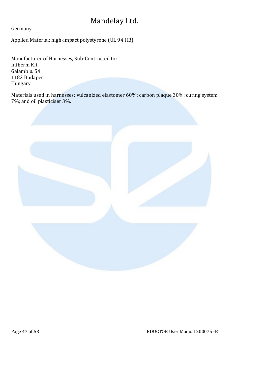Germany

Applied Material: high-impact polystyrene (UL 94 HB).

Manufacturer of Harnesses, Sub-Contracted to: Intherm Kft. Galamb u. 54. 1182 Budapest Hungary

Materials used in harnesses: vulcanized elastomer 60%; carbon plaque 30%; curing system 7%; and oil plasticiser 3%.

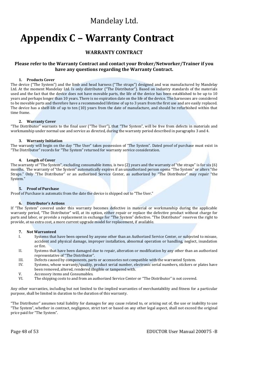# **Appendix C – Warranty Contract**

#### **WARRANTY CONTRACT**

#### **Please refer to the Warranty Contract and contact your Broker/Networker/Trainer if you have any questions regarding the Warranty Contract.**

#### **1. Products Cover**

The device ("The System") and the limb and head harness ("The straps") designed and was manufactured by Mandelay Ltd. At the moment Mandelay Ltd. Is only distributor ("The Distributor"). Based on industry standards of the materials used and the fact that the device does not have movable parts, the life of the device has been established to be up to 10 years and perhaps longer than 10 years. There is no expiration date on the life of the device. The harnesses are considered to be movable parts and therefore have a recommended lifetime of up to 3 years from the first use and are easily replaced. The device has a shelf-life of up to ten (10) years from the date of manufacture, and should be refurbished within that time frame.

#### **2. Warranty Cover**

"The Distributor" warrants to the final user ("The User"), that "The System", will be free from defects in materials and workmanship under normal use and service as directed, during the warranty period described in paragraphs 3 and 4.

#### **3. Warranty Initiation**

The warranty will begin on the day "The User" takes possession of "The System". Dated proof of purchase must exist in "The Distributor" records for "The System" returned for warranty service consideration.

#### **4. Length of Cover**

The warranty of "The System", excluding consumable items, is two (2) years and the warranty of "the straps" is for six (6) months. The warranty of "the System" automatically expires if an unauthorized person opens "The System" or alters "the Straps." Only "The Distributor" or an authorized Service Center, as authorized by "The Distributor" may repair "the System."

#### **5. Proof of Purchase**

Proof of Purchase is automatic from the date the device is shipped out to "The User."

#### **6. Distributor's Actions**

If "The System" covered under this warranty becomes defective in material or workmanship during the applicable warranty period, "The Distributor" will, at its option, either repair or replace the defective product without charge for parts and labor, or provide a replacement in exchange for "The System" defective. "The Distributor" reserves the right to provide, at no extra cost, a more current upgrade model for replacement, if available.

#### **7. Not Warranteed**

- I. Systems that have been opened by anyone other than an Authorized Service Center, or subjected to misuse, accident and physical damage, improper installation, abnormal operation or handling, neglect, inundation or fire.
- II. Systems that have been damaged due to repair, alteration or modification by any other than an authorized representative of "The Distributor".
- III. Defects caused by components, parts or accessories not compatible with the warranted System.
- Systems, whose warranty/quality, product serial number, electronic serial numbers, stickers or plates have been removed, altered, rendered illegible or tampered with.
- V. Accessory items and Consumables.<br>VI. The shipping costs to and from an a
- The shipping costs to and from an authorized Service Center or "The Distributor" is not covered.

Any other warranties, including but not limited to the implied warranties of merchantability and fitness for a particular purpose, shall be limited in duration to the duration of this warranty.

"The Distributor" assumes total liability for damages for any cause related to, or arising out of, the use or inability to use "The System", whether in contract, negligence, strict tort or based on any other legal aspect, shall not exceed the original price paid for "The System".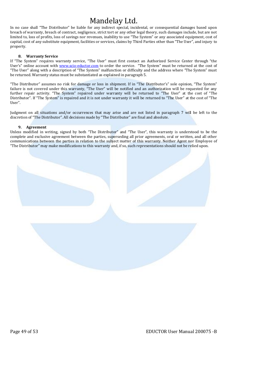In no case shall "The Distributor" be liable for any indirect special, incidental, or consequential damages based upon breach of warranty, breach of contract, negligence, strict tort or any other legal theory, such damages include, but are not limited to, loss of profits, loss of savings nor revenues, inability to use "The System" or any associated equipment, cost of capital, cost of any substitute equipment, facilities or services, claims by Third Parties other than "The User", and injury to property.

#### **8. Warranty Service**

If "The System" requires warranty service, "The User" must first contact an Authorized Service Center through "the User's" online account with www.scio-eductor.com to order the service. "The System" must be returned at the cost of "The User" along with a description of "The System" malfunction or difficulty and the address where "The System" must be returned. Warranty status must be substantiated as explained in paragraph 5.

"The Distributor" assumes no risk for damage or loss in shipment. If in "The Distributor's" sole opinion, "The System" failure is not covered under this warranty, "The User" will be notified and an authorization will be requested for any further repair activity. "The System" repaired under warranty will be returned to "The User" at the cost of "The Distributor". If "The System" is repaired and it is not under warranty it will be returned to "The User" at the cost of "The User".

Judgment on all situations and/or occurrences that may arise and are not listed in paragraph 7 will be left to the discretion of "The Distributor". All decisions made by "The Distributor" are final and absolute.

#### **9. Agreement**

Unless modified in writing, signed by both "The Distributor" and "The User", this warranty is understood to be the complete and exclusive agreement between the parties, superseding all prior agreements, oral or written, and all other communications between the parties in relation to the subject matter of this warranty. Neither Agent nor Employee of "The Distributor" may make modifications to this warranty and, if so, such representations should not be relied upon.

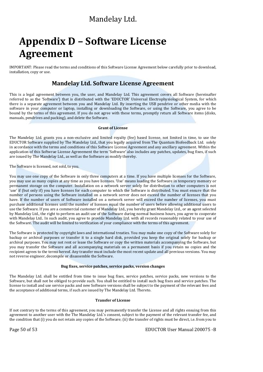# **Appendix D – Software License Agreement**

IMPORTANT: Please read the terms and conditions of this Software License Agreement below carefully prior to download, installation, copy or use.

### **Mandelay Ltd. Software License Agreement**

This is a legal agreement between you, the user, and Mandelay Ltd. This agreement covers all Software (hereinafter referred to as the 'Software') that is distributed with the 'EDUCTOR' Universal Electrophysiological System, for which there is a separate agreement between you and Mandelay Ltd. By inserting the USB pendrive or other media with the software in your computer or laptop, installing or downloading the Software, or using the Software, you agree to be bound by the terms of this agreement. If you do not agree with these terms, promptly return all Software items (disks, manuals, pendrives and packing), and delete the Software.

#### **Grant of License**

The Mandelay Ltd. grants you a non-exclusive and limited royalty (fee) based license, not limited in time, to use the EDUCTOR Software supplied by The Mandelay Ltd., that you legally acquired from The Quantum Biofeedback Ltd. solely in accordance with the terms and conditions of this Software License Agreement and any ancillary agreement. Within the application of this Softwrae License Agreeement the term 'Software' also includes any patches, updates, bug fixes, if such are issued by The Mandelay Ltd., as well as the Software as modify thereby.

The Software is licensed, not sold, to you.

You may use one copy of the Software in only three computers at a time. If you have multiple licenses for the Software, you may use as many copies at any time as you have licenses. 'Use' means loading the Software in temporary memory or permanent storage on the computer. Installation on a network server solely for distribution to other computers is not 'use' if (but only if) you have licenses for each computer to which the Software is distributed. You must ensure that the number of persons using the Software installed on a network server does not exceed the number of licenses that you have. If the number of users of Software installed on a network server will exceed the number of licenses, you must purchase additional licenses until the number of licenses equal the number of users before allowing additional users to use the Software. If you are a commercial customer of Mandelay Ltd., you hereby grant Mandelay Ltd., or an agent selected by Mandelay Ltd., the right to perform an audit use of the Software during normal business hours, you agree to cooperate with Mandelay Ltd.. In such audit, you agree to provide Mandelay Ltd. with all records reasonably related to your use of the Software. The audit will be limited to verification of your compliance with the terms of this agreement.

The Software is protected by copyright laws and international treaties. You may make one copy of the Software solely for backup or archival purposes or transfer it to a single hard disk, provided you keep the original solely for backup or archival purposes. You may not rent or lease the Software or copy the written materials accompanying the Software, but you may transfer the Software and all accompanying materials on a permanent basis if you retain no copies and the recipient agrees to the terms hereof. Any transfer must include the most recent update and all previous versions. You may not reverse engineer, decompile or disassemble the Software.

#### **Bug fixes, service patches, service packs, version changes**

The Mandelay Ltd. shall be entitled from time to issue bug fixes, service patches, service packs, new versions to the Software, but shall not be obliged to provide such. You shall be entitled to install such bug fixes and service patches. The license to install and use service packs and new Software versions shall be subject to the payment of the relevant fees and the acceptance of additional terms, if such are issued by The Mandelay Ltd. Thereto.

#### **Transfer of License**

If not contrary to the terms of this agreement, you may permanently transfer the License and all rights ensuing from this agreement to another user with the The Mandelay Ltd.'s consent, subject to the payment of the relevant transfer fee, and the condition that (i) you do not retain any copies of the Software; (ii) the transfer of rights must be direct, i.e. from you to

Page 50 of 53 **EDUCTOR User Manual 200075 -B**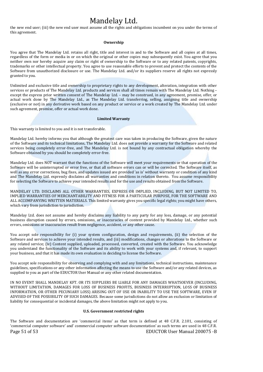the new end user; (iii) the new end user must assume all the rights and obligations incumbent on you under the terms of this agreement.

#### **Ownership**

You agree that The Mandelay Ltd. retains all right, title and interest in and to the Software and all copies at all times, regardless of the form or media in or on which the original or other copies may subsequently exist. You agree that you neither own nor hereby acquire any claim or right of ownership to the Software or to any related patents, copyrights, trademarks or other intellectual property. You agree to use reasonable efforts to prevent and protect the contents of the Software from unauthorized disclosure or use. The Mandelay Ltd. and/or its suppliers reserve all rights not expressly granted to you.

Unlimited and exclusive title and ownership to proprietary rights to any development, alteration, integration with other services or products of The Mandelay Ltd. products and services shall all times remain with The Mandelay Ltd. Nothing – except the express prior written consent of The Mandelay Ltd. – may be construed, in any agreement, promise, offer, or actual work done by The Mandelay Ltd., as The Mandelay Ltd. transferring, selling, assigning title and ownership (exclusive or not) in any derivative work based on any product or service or a work created by The Mandelay Ltd. under such agreement, promise, offer or actual work done.

#### **Limited Warranty**

This warranty is limited to you and it is not transferable.

Mandelay Ltd. hereby informs you that although the greatest care was taken in producing the Software, given the nature of the Software and its technical limitations, The Mandelay Ltd. does not provide a warranty for the Software and related services being completely error-free, and The Mandelay Ltd. is not bound by any contractual obligation whereby the Software obtained by you should be completely error-free.

Mandelay Ltd. does NOT warrant that the functions of the Software will meet your requirements or that operation of the Software will be uninterrupted or error free, or that all software errors can or will be corrected. The Software itself, as well as any error corrections, bug fixes, and updates issued are provided 'as is' without warranty or condition of any kind and The Mandelay Ltd. expressly disclaims all warranties and conditions in relation thereto. You assume responsibility for selecting the Software to achieve your intended results and for the use and results obtained from the Software.

MANDELAY LTD. DISCLAIMS ALL OTHER WARRANTIES, EXPRESS OR IMPLIED, INCLUDING, BUT NOT LIMITED TO, IMPLIED WARRANTIES OF MERCHANTABILITY AND FITNESS FOR A PARTICULAR PURPOSE, FOR THE SOFTWARE AND ALL ACCOMPANYING WRITTEN MATERIALS. This limited warranty gives you specific legal rights; you might have others, which vary from jurisdiction to jurisdiction.

Mandelay Ltd. does not assume and hereby disclaims any liability to any party for any loss, damage, or any potential business disruption caused by errors, omissions, or inaccuracies of content provided by Mandelay Ltd., whether such errors, omissions or inaccuracies result from negligence, accident, or any other cause.

You accept sole responsibility for (i) your system configuration, design and requirements, (ii) the selection of the Software and services to achieve your intended results, and (iii) modifications, changes or alterations to the Software or any related service; (iv) Content supplied, uploaded, processed, converted, created with the Software. You acknowledge you understand the functionality of the Software and its ability to work with your systems and, if relevant, to support your business, and that it has made its own evaluation in deciding to license the Software.

You accept sole responsibility for observing and complying with and any limitations, technical instructions, maintenance guidelines, specifications or any other information affecting the means to use the Software and/or any related devices, as supplied to you as part of the EDUCTOR User Manual or any other related documentation.

IN NO EVENT SHALL MANDELAY KFT. OR ITS SUPPLIERS BE LIABLE FOR ANY DAMAGES WHATSOEVER (INCLUDING, WITHOUT LIMITATION, DAMAGES FOR LOSS OF BUSINESS PROFITS, BUSINESS INTERRUPTION, LOSS OF BUSINESS INFORMATION, OR OTHER PECUNIARY LOSS) ARISING OUT OF USE OR INABILITY TO USE THE SOFTWARE, EVEN IF ADVISED OF THE POSSIBILITY OF SUCH DAMAGES. Because some jurisdictions do not allow an exclusion or limitation of liability for consequential or incidental damages, the above limitation might not apply to you.

#### **U.S. Government restricted rights**

Page 51 of 53 EDUCTOR User Manual 200075 -B The Software and documentation are 'commercial items' as that term is defined at 48 C.F.R. 2.101, consisting of 'commercial computer software' and' commercial computer software documentation' as such terms are used in 48 C.F.R.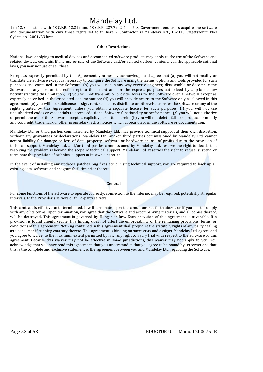12.212. Consistent with 48 C.F.R. 12.212 and 48 C.F.R. 227.7202-4, all U.S. Government end users acquire the software and documentation with only those rights set forth herein. Contractor is Mandelay Kft., H-2310 Szigetszentmiklós Gyártelep 12001/33 hrsz.

#### **Other Restrictions**

National laws applying to medical devices and accompanied software products may apply to the use of the Software and related devices, contents. If any use or sale of the Software and/or related devices, contents conflict applicable national laws, you may not use or sell these.

Except as expressly permitted by this Agreement, you hereby acknowledge and agree that (a) you will not modify or translate the Software except as necessary to configure the Software using the menus, options and tools provided for such purposes and contained in the Software; (b) you will not in any way reverse engineer, disassemble or decompile the Software or any portion thereof except to the extent and for the express purposes authorized by applicable law notwithstanding this limitation; (c) you will not transmit, or provide access to, the Software over a network except as expressly described in the associated documentation; (d) you will provide access to the Software only as allowed in this agreement; (e) you will not sublicense, assign, rent, sell, lease, distribute or otherwise transfer the Software or any of the rights granted by this Agreement, unless you obtain a separate license for such purposes; (f) you will not use unauthorized codes or credentials to access additional Software functionality or performance; (g) you will not authorize or permit the use of the Software except as explicitly permitted herein; (h) you will not delete, fail to reproduce or modify any copyright, trademark or other proprietary rights notices which appear on or in the Software or documentation.

Mandelay Ltd. or third parties commissioned by Mandelay Ltd. may provide technical support at their own discretion, without any guarantees or declarations. Mandelay Ltd. and/or third parties commissioned by Mandelay Ltd. cannot accept liability for damage or loss of data, property, software or hardware or loss of profits due to the provision of technical support. Mandelay Ltd. and/or third parties commissioned by Mandelay Ltd. reserve the right to decide that resolving the problem is beyond the scope of technical support. Mandelay Ltd. reserves the right to refuse, suspend or terminate the provision of technical support at its own discretion.

In the event of installing any updates, patches, bug fixes etc. or using technical support, you are required to back up all existing data, software and program facilities prior thereto.

**General**

For some functions of the Software to operate correctly, connection to the Internet may be required, potentially at regular intervals, to the Provider's servers or third-party servers.

This contract is effective until terminated. It will terminate upon the conditions set forth above, or if you fail to comply with any of its terms. Upon termination, you agree that the Software and accompanying materials, and all copies thereof, will be destroyed. This agreement is governed by Hungarian law. Each provision of this agreement is severable. If a provision is found unenforceable, this finding does not affect the enforceability of the remaining provisions, terms, or conditions of this agreement. Nothing contained in this agreement shall prejudice the statutory rights of any party dealing as a consumer if running contrary thereto. This agreement is binding on successors and assigns. Mandelay Ltd. agrees and you agree to waive, to the maximum extent permitted by law, any right to a jury trial with respect to the Software or this agreement. Because this waiver may not be effective in some jurisdictions, this waiver may not apply to you. You acknowledge that you have read this agreement, that you understand it, that you agree to be bound by its terms, and that this is the complete and exclusive statement of the agreement between you and Mandelay Ltd. regarding the Software.